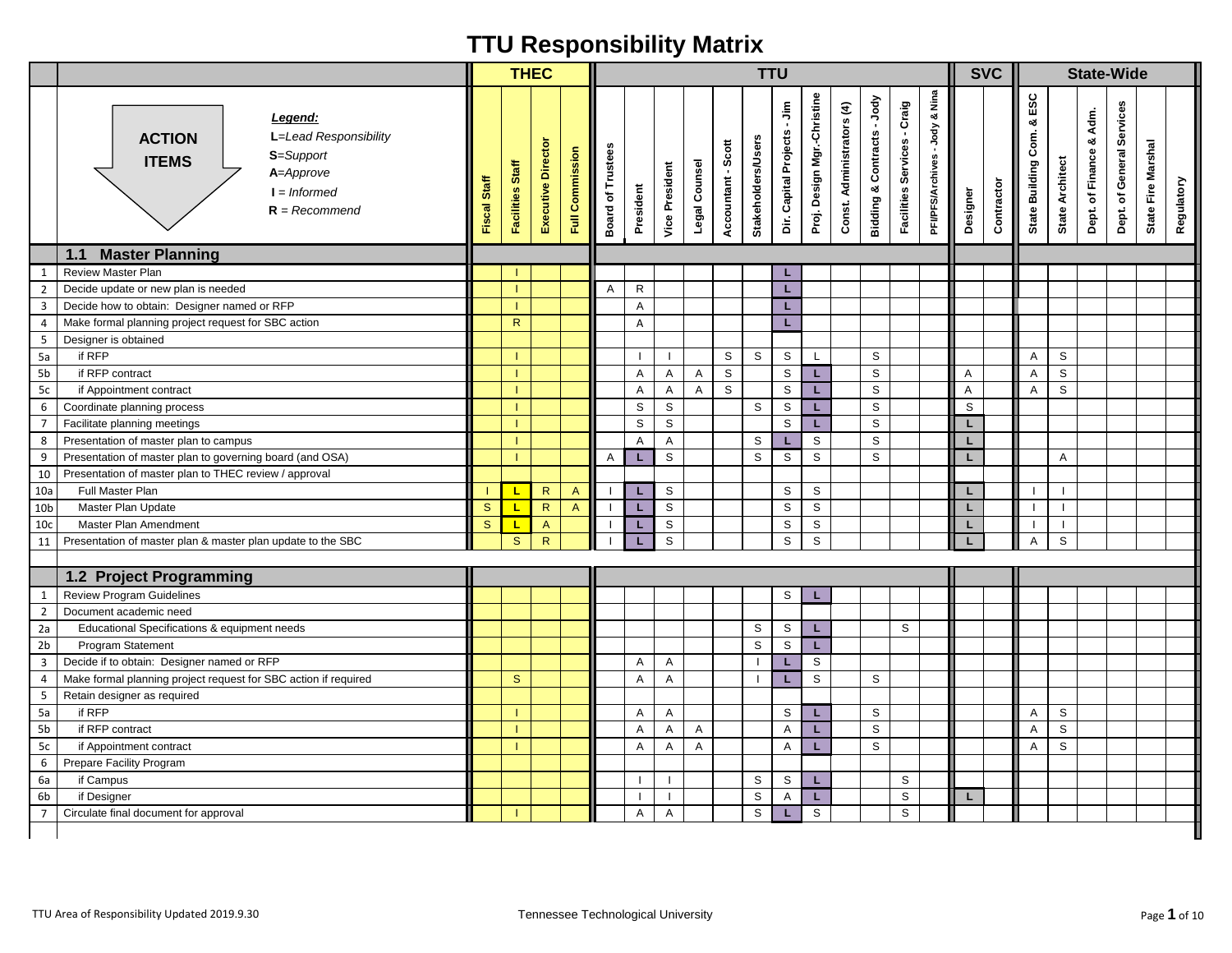|                                  |                                                                                                                                  |              | <b>THEC</b>      |                    |                 |                                    |              |                |                |                    | <b>TTU</b>                |                             |                             |                           |                                         |                                      |                                           |          | <b>SVC</b> |                                    |                        |                               | <b>State-Wide</b>         |                                  |  |
|----------------------------------|----------------------------------------------------------------------------------------------------------------------------------|--------------|------------------|--------------------|-----------------|------------------------------------|--------------|----------------|----------------|--------------------|---------------------------|-----------------------------|-----------------------------|---------------------------|-----------------------------------------|--------------------------------------|-------------------------------------------|----------|------------|------------------------------------|------------------------|-------------------------------|---------------------------|----------------------------------|--|
|                                  | Legend:<br>L=Lead Responsibility<br><b>ACTION</b><br>S=Support<br><b>ITEMS</b><br>A=Approve<br>$I = Informed$<br>$R = Recommend$ | Fiscal Staff | Facilities Staff | Executive Director | Full Commission | <b>Board of Trustees</b>           | President    | Vice President | Legal Counsel  | Accountant - Scott | <b>Stakeholders/Users</b> | Dir. Capital Projects - Jim | Proj. Design Mgr.-Christine | Const. Administrators (4) | -Jody<br><b>Bidding &amp; Contracts</b> | - Craig<br>Services<br>Facilities \$ | & Nina<br>-Jody<br><b>PFVPFS/Archives</b> | Designer | Contractor | ESC<br>య<br>Com.<br>State Building | <b>State Architect</b> | Adm.<br>ø<br>Dept. of Finance | Dept. of General Services | State Fire Marshal<br>Regulatory |  |
|                                  | <b>Master Planning</b><br>1.1                                                                                                    |              |                  |                    |                 |                                    |              |                |                |                    |                           |                             |                             |                           |                                         |                                      |                                           |          |            |                                    |                        |                               |                           |                                  |  |
| $\mathbf{1}$                     | <b>Review Master Plan</b>                                                                                                        |              |                  |                    |                 |                                    |              |                |                |                    |                           | L                           |                             |                           |                                         |                                      |                                           |          |            |                                    |                        |                               |                           |                                  |  |
| $\overline{2}$<br>$\overline{3}$ | Decide update or new plan is needed                                                                                              |              |                  |                    |                 | A                                  | $\mathsf{R}$ |                |                |                    |                           | L                           |                             |                           |                                         |                                      |                                           |          |            |                                    |                        |                               |                           |                                  |  |
|                                  | Decide how to obtain: Designer named or RFP<br>Make formal planning project request for SBC action                               |              | $\mathsf{R}$     |                    |                 |                                    | A            |                |                |                    |                           | L                           |                             |                           |                                         |                                      |                                           |          |            |                                    |                        |                               |                           |                                  |  |
| $\overline{4}$<br>5              | Designer is obtained                                                                                                             |              |                  |                    |                 |                                    | A            |                |                |                    |                           | L                           |                             |                           |                                         |                                      |                                           |          |            |                                    |                        |                               |                           |                                  |  |
| 5a                               | if RFP                                                                                                                           |              |                  |                    |                 |                                    |              |                |                | S                  | S                         | S                           | L                           |                           | S                                       |                                      |                                           |          |            | Α                                  | S                      |                               |                           |                                  |  |
| 5 <sub>b</sub>                   | if RFP contract                                                                                                                  |              |                  |                    |                 |                                    | A            | Α              | $\overline{A}$ | $\mathbb S$        |                           | $\mathbb S$                 | L.                          |                           | S                                       |                                      |                                           | Α        |            | A                                  | $\mathbb S$            |                               |                           |                                  |  |
| 5c                               | if Appointment contract                                                                                                          |              |                  |                    |                 |                                    | Α            | Α              | $\mathsf{A}$   | S                  |                           | $\mathbb S$                 | L.                          |                           | $\mathbb S$                             |                                      |                                           | Α        |            | $\mathsf{A}$                       | S                      |                               |                           |                                  |  |
| $\,$ 6 $\,$                      | Coordinate planning process                                                                                                      |              |                  |                    |                 |                                    | S            | S              |                |                    | S                         | S                           | L.                          |                           | S                                       |                                      |                                           | S        |            |                                    |                        |                               |                           |                                  |  |
| $\overline{7}$                   | Facilitate planning meetings                                                                                                     |              |                  |                    |                 |                                    | S            | S              |                |                    |                           | S                           | L.                          |                           | S                                       |                                      |                                           | L.       |            |                                    |                        |                               |                           |                                  |  |
| 8                                | Presentation of master plan to campus                                                                                            |              |                  |                    |                 |                                    | A            | Α              |                |                    | S                         | L                           | S                           |                           | S                                       |                                      |                                           | L        |            |                                    |                        |                               |                           |                                  |  |
| $\mathsf g$                      | Presentation of master plan to governing board (and OSA)                                                                         |              |                  |                    |                 | Α                                  | L            | S              |                |                    | $\mathbb S$               | $\mathsf{s}$                | $\mathsf{s}$                |                           | S                                       |                                      |                                           | L        |            |                                    | A                      |                               |                           |                                  |  |
| 10                               | Presentation of master plan to THEC review / approval                                                                            |              |                  |                    |                 |                                    |              |                |                |                    |                           |                             |                             |                           |                                         |                                      |                                           |          |            |                                    |                        |                               |                           |                                  |  |
| 10a                              | Full Master Plan                                                                                                                 |              | L                | $\mathsf{R}$       | $\overline{A}$  |                                    | L.           | S              |                |                    |                           | S                           | S                           |                           |                                         |                                      |                                           | L.       |            |                                    |                        |                               |                           |                                  |  |
| 10 <sub>b</sub>                  | Master Plan Update                                                                                                               | $\mathbf{s}$ | L                | $\mathsf{R}$       | $\mathsf{A}$    |                                    | L            | $\mathsf{s}$   |                |                    |                           | $\mathsf{s}$                | $\mathsf{s}$                |                           |                                         |                                      |                                           | L.       |            |                                    |                        |                               |                           |                                  |  |
| 10 <sub>c</sub>                  | Master Plan Amendment                                                                                                            | $\mathbf{s}$ | Щ                | $\mathsf{A}$       |                 |                                    | L            | ${\tt S}$      |                |                    |                           | S                           | $\mathsf{s}$                |                           |                                         |                                      |                                           |          |            |                                    |                        |                               |                           |                                  |  |
| 11                               | Presentation of master plan & master plan update to the SBC                                                                      |              | S                | R                  |                 |                                    | г            | $\mathsf{s}$   |                |                    |                           | $\mathbb S$                 | $\mathbb S$                 |                           |                                         |                                      |                                           |          |            | A                                  | $\mathbb S$            |                               |                           |                                  |  |
|                                  |                                                                                                                                  |              |                  |                    |                 |                                    |              |                |                |                    |                           |                             |                             |                           |                                         |                                      |                                           |          |            |                                    |                        |                               |                           |                                  |  |
|                                  | 1.2 Project Programming                                                                                                          |              |                  |                    |                 |                                    |              |                |                |                    |                           |                             |                             |                           |                                         |                                      |                                           |          |            |                                    |                        |                               |                           |                                  |  |
| $\mathbf{1}$                     | <b>Review Program Guidelines</b>                                                                                                 |              |                  |                    |                 |                                    |              |                |                |                    |                           | S                           |                             |                           |                                         |                                      |                                           |          |            |                                    |                        |                               |                           |                                  |  |
| $\overline{2}$                   | Document academic need                                                                                                           |              |                  |                    |                 |                                    |              |                |                |                    |                           |                             |                             |                           |                                         |                                      |                                           |          |            |                                    |                        |                               |                           |                                  |  |
| 2a                               | Educational Specifications & equipment needs                                                                                     |              |                  |                    |                 |                                    |              |                |                |                    | S                         | S                           | L.                          |                           |                                         | S                                    |                                           |          |            |                                    |                        |                               |                           |                                  |  |
| 2 <sub>b</sub>                   | <b>Program Statement</b>                                                                                                         |              |                  |                    |                 |                                    |              |                |                |                    | S                         | S                           | L.                          |                           |                                         |                                      |                                           |          |            |                                    |                        |                               |                           |                                  |  |
| $\overline{3}$                   | Decide if to obtain: Designer named or RFP                                                                                       |              |                  |                    |                 |                                    | Α            | Α              |                |                    |                           | L                           | $\mathsf{s}$                |                           |                                         |                                      |                                           |          |            |                                    |                        |                               |                           |                                  |  |
| $\overline{4}$                   | Make formal planning project request for SBC action if required                                                                  |              | $\mathbf{s}$     |                    |                 |                                    | Α            | Α              |                |                    |                           | L                           | $\mathsf{s}$                |                           | S                                       |                                      |                                           |          |            |                                    |                        |                               |                           |                                  |  |
| 5                                | Retain designer as required                                                                                                      |              |                  |                    |                 |                                    |              |                |                |                    |                           |                             |                             |                           |                                         |                                      |                                           |          |            |                                    |                        |                               |                           |                                  |  |
| 5a                               | if RFP                                                                                                                           |              |                  |                    |                 |                                    | Α            | Α              |                |                    |                           | S                           | L.                          |                           | S                                       |                                      |                                           |          |            | A                                  | S                      |                               |                           |                                  |  |
| 5b                               | if RFP contract                                                                                                                  |              |                  |                    |                 |                                    | Α            | Α              | Α              |                    |                           | Α                           | L.                          |                           | S                                       |                                      |                                           |          |            | A                                  | S                      |                               |                           |                                  |  |
| 5c                               | if Appointment contract                                                                                                          |              |                  |                    |                 |                                    | A            | A              | A              |                    |                           | Α                           | L.                          |                           | ${\tt S}$                               |                                      |                                           |          |            | A                                  | $\mathbb S$            |                               |                           |                                  |  |
| 6                                | Prepare Facility Program                                                                                                         |              |                  |                    |                 |                                    |              |                |                |                    |                           |                             |                             |                           |                                         |                                      |                                           |          |            |                                    |                        |                               |                           |                                  |  |
| 6a                               | if Campus                                                                                                                        |              |                  |                    |                 |                                    |              |                |                |                    | $\mathbb S$               | $\mathsf{s}$                | L.                          |                           |                                         | $\mathsf S$                          |                                           |          |            |                                    |                        |                               |                           |                                  |  |
| 6 <sub>b</sub>                   | if Designer                                                                                                                      |              |                  |                    |                 |                                    |              |                |                |                    | $\mathbb S$               | Α                           | L.                          |                           |                                         | $\mathbb S$                          |                                           | L        |            |                                    |                        |                               |                           |                                  |  |
| $\overline{7}$                   | Circulate final document for approval                                                                                            |              |                  |                    |                 |                                    | Α            | Α              |                |                    | $\mathbb S$               |                             | $\mathsf{s}$                |                           |                                         | S                                    |                                           |          |            |                                    |                        |                               |                           |                                  |  |
|                                  | TTU Area of Responsibility Updated 2019.9.30                                                                                     |              |                  |                    |                 | Tennessee Technological University |              |                |                |                    |                           |                             |                             |                           |                                         |                                      |                                           |          |            |                                    |                        |                               |                           | Page 1 of 10                     |  |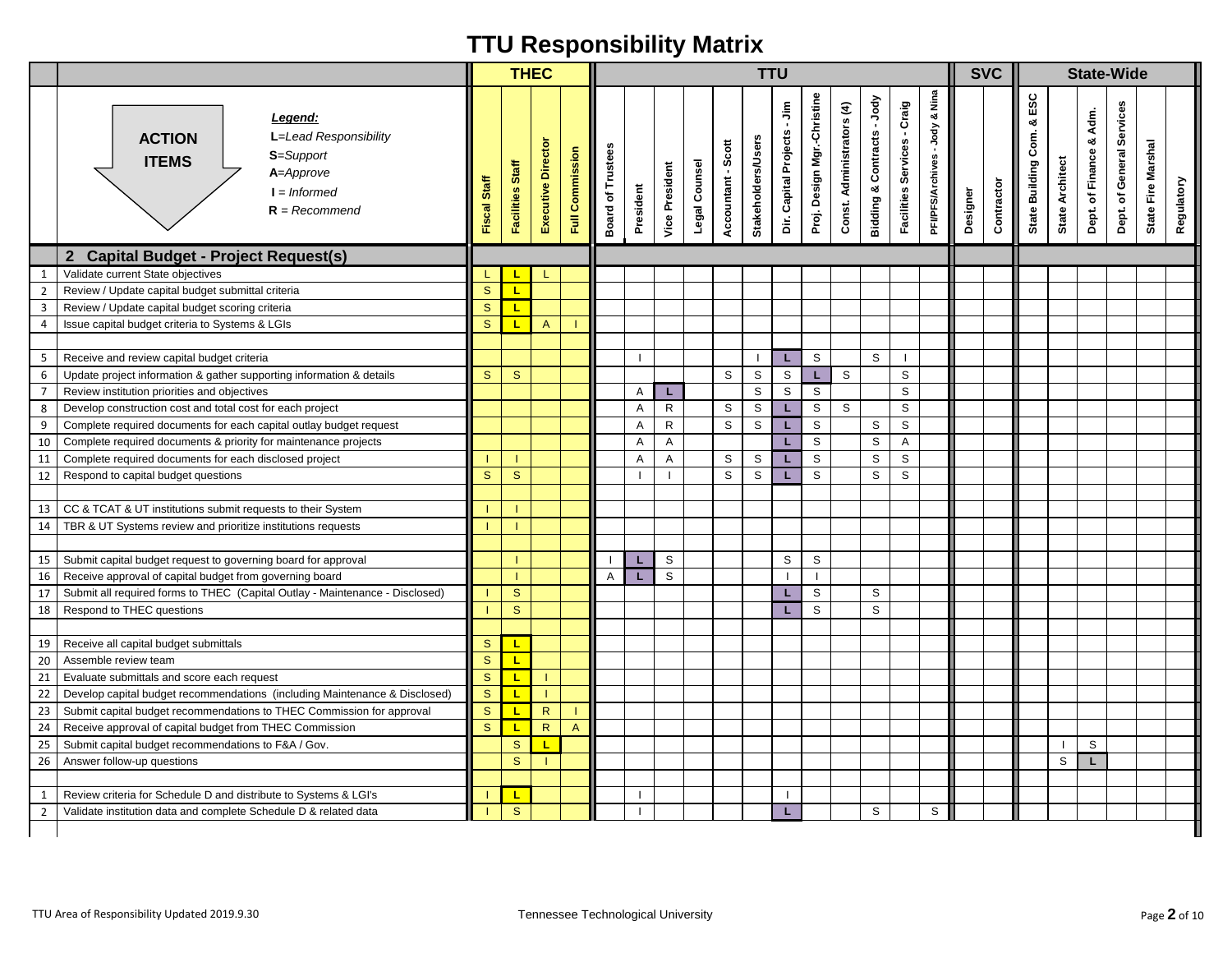|                |                                                                                                                                  |              |                  | <b>THEC</b>        |                 |                                    |           |                       |               |                    | <b>TTU</b>                |                                                  |                             |                           |                            |                                       |                                     |          | <b>SVC</b> |                                    |                        |                               | <b>State-Wide</b>            |                                  |  |
|----------------|----------------------------------------------------------------------------------------------------------------------------------|--------------|------------------|--------------------|-----------------|------------------------------------|-----------|-----------------------|---------------|--------------------|---------------------------|--------------------------------------------------|-----------------------------|---------------------------|----------------------------|---------------------------------------|-------------------------------------|----------|------------|------------------------------------|------------------------|-------------------------------|------------------------------|----------------------------------|--|
|                | Legend:<br>L=Lead Responsibility<br><b>ACTION</b><br>S=Support<br><b>ITEMS</b><br>A=Approve<br>$I = Informed$<br>$R = Recommend$ | Fiscal Staff | Facilities Staff | Executive Director | Full Commission | <b>Board of Trustees</b>           | President | <b>Vice President</b> | Legal Counsel | Accountant - Scott | <b>Stakeholders/Users</b> | $\frac{\varepsilon}{2}$<br>Dir. Capital Projects | Proj. Design Mgr.-Christine | Const. Administrators (4) | Bidding & Contracts - Jody | - Craig<br><b>Facilities Services</b> | Nina<br>ಹ<br>PFVPFS/Archives - Jody | Designer | Contractor | ESC<br>ಳ<br>Com.<br>State Building | <b>State Architect</b> | Adm.<br>ಯ<br>Dept. of Finance | General Services<br>Dept. of | State Fire Marshal<br>Regulatory |  |
|                | <b>Capital Budget - Project Request(s)</b><br>$\mathbf{2}$                                                                       |              |                  |                    |                 |                                    |           |                       |               |                    |                           |                                                  |                             |                           |                            |                                       |                                     |          |            |                                    |                        |                               |                              |                                  |  |
| 1              | Validate current State objectives                                                                                                | L            | L.               | L.                 |                 |                                    |           |                       |               |                    |                           |                                                  |                             |                           |                            |                                       |                                     |          |            |                                    |                        |                               |                              |                                  |  |
| $\overline{2}$ | Review / Update capital budget submittal criteria                                                                                | $\mathbf{s}$ | L                |                    |                 |                                    |           |                       |               |                    |                           |                                                  |                             |                           |                            |                                       |                                     |          |            |                                    |                        |                               |                              |                                  |  |
| 3              | Review / Update capital budget scoring criteria                                                                                  | $\mathbf{s}$ | L.               |                    |                 |                                    |           |                       |               |                    |                           |                                                  |                             |                           |                            |                                       |                                     |          |            |                                    |                        |                               |                              |                                  |  |
| 4              | Issue capital budget criteria to Systems & LGIs                                                                                  | <sub>S</sub> | L.               | $\mathsf{A}$       |                 |                                    |           |                       |               |                    |                           |                                                  |                             |                           |                            |                                       |                                     |          |            |                                    |                        |                               |                              |                                  |  |
| 5              | Receive and review capital budget criteria                                                                                       |              |                  |                    |                 |                                    |           |                       |               |                    |                           | L                                                | S                           |                           | S                          |                                       |                                     |          |            |                                    |                        |                               |                              |                                  |  |
| 6              | Update project information & gather supporting information & details                                                             | S            | $\mathbf{s}$     |                    |                 |                                    |           |                       |               | S                  | $\mathbb S$               | S                                                | L                           | S                         |                            | $\mathsf{s}$                          |                                     |          |            |                                    |                        |                               |                              |                                  |  |
| $\overline{7}$ | Review institution priorities and objectives                                                                                     |              |                  |                    |                 |                                    | Α         | L.                    |               |                    | $\mathbb S$               | $\mathsf S$                                      | $\mathbb S$                 |                           |                            | S                                     |                                     |          |            |                                    |                        |                               |                              |                                  |  |
| 8              | Develop construction cost and total cost for each project                                                                        |              |                  |                    |                 |                                    | Α         | $\mathsf{R}$          |               | S                  | $\mathsf S$               | L                                                | $\mathbb S$                 | S                         |                            | S                                     |                                     |          |            |                                    |                        |                               |                              |                                  |  |
| 9              | Complete required documents for each capital outlay budget request                                                               |              |                  |                    |                 |                                    | A         | $\mathsf{R}$          |               | $\mathbb S$        | S                         | L                                                | $\mathbb S$                 |                           | S                          | S                                     |                                     |          |            |                                    |                        |                               |                              |                                  |  |
| 10             | Complete required documents & priority for maintenance projects                                                                  |              |                  |                    |                 |                                    | Α         | Α                     |               |                    |                           | L.                                               | S                           |                           | S                          | Α                                     |                                     |          |            |                                    |                        |                               |                              |                                  |  |
| 11             | Complete required documents for each disclosed project                                                                           |              |                  |                    |                 |                                    | Α         | Α                     |               | S                  | S                         | L                                                | $\mathbb S$                 |                           | S                          | $\mathbb S$                           |                                     |          |            |                                    |                        |                               |                              |                                  |  |
| 12             | Respond to capital budget questions                                                                                              | S            | S                |                    |                 |                                    |           | $\mathbf{I}$          |               | S                  | S                         |                                                  | S                           |                           | S                          | S                                     |                                     |          |            |                                    |                        |                               |                              |                                  |  |
|                |                                                                                                                                  |              |                  |                    |                 |                                    |           |                       |               |                    |                           |                                                  |                             |                           |                            |                                       |                                     |          |            |                                    |                        |                               |                              |                                  |  |
| 13             | CC & TCAT & UT institutions submit requests to their System                                                                      |              |                  |                    |                 |                                    |           |                       |               |                    |                           |                                                  |                             |                           |                            |                                       |                                     |          |            |                                    |                        |                               |                              |                                  |  |
| 14             | TBR & UT Systems review and prioritize institutions requests                                                                     |              |                  |                    |                 |                                    |           |                       |               |                    |                           |                                                  |                             |                           |                            |                                       |                                     |          |            |                                    |                        |                               |                              |                                  |  |
|                |                                                                                                                                  |              |                  |                    |                 |                                    |           |                       |               |                    |                           |                                                  |                             |                           |                            |                                       |                                     |          |            |                                    |                        |                               |                              |                                  |  |
| 15             | Submit capital budget request to governing board for approval                                                                    |              |                  |                    |                 |                                    | L         | S                     |               |                    |                           | S                                                | S                           |                           |                            |                                       |                                     |          |            |                                    |                        |                               |                              |                                  |  |
| 16             | Receive approval of capital budget from governing board                                                                          |              |                  |                    |                 | Α                                  | L.        | S                     |               |                    |                           | $\blacksquare$                                   | $\overline{1}$              |                           |                            |                                       |                                     |          |            |                                    |                        |                               |                              |                                  |  |
| 17             | Submit all required forms to THEC (Capital Outlay - Maintenance - Disclosed)                                                     |              | $\mathbf{s}$     |                    |                 |                                    |           |                       |               |                    |                           | L.                                               | $\mathbb S$                 |                           | S                          |                                       |                                     |          |            |                                    |                        |                               |                              |                                  |  |
| 18             | Respond to THEC questions                                                                                                        |              | $\mathbf{s}$     |                    |                 |                                    |           |                       |               |                    |                           | L.                                               | $\mathsf S$                 |                           | S                          |                                       |                                     |          |            |                                    |                        |                               |                              |                                  |  |
|                |                                                                                                                                  |              |                  |                    |                 |                                    |           |                       |               |                    |                           |                                                  |                             |                           |                            |                                       |                                     |          |            |                                    |                        |                               |                              |                                  |  |
| 19             | Receive all capital budget submittals                                                                                            | S            | L.               |                    |                 |                                    |           |                       |               |                    |                           |                                                  |                             |                           |                            |                                       |                                     |          |            |                                    |                        |                               |                              |                                  |  |
| 20             | Assemble review team                                                                                                             | <sub>S</sub> | L.               |                    |                 |                                    |           |                       |               |                    |                           |                                                  |                             |                           |                            |                                       |                                     |          |            |                                    |                        |                               |                              |                                  |  |
| 21             | Evaluate submittals and score each request                                                                                       | $\mathbf{s}$ | $\mathbf{L}$     |                    |                 |                                    |           |                       |               |                    |                           |                                                  |                             |                           |                            |                                       |                                     |          |            |                                    |                        |                               |                              |                                  |  |
| 22             | Develop capital budget recommendations (including Maintenance & Disclosed)                                                       | $\mathbf{s}$ | L.               |                    |                 |                                    |           |                       |               |                    |                           |                                                  |                             |                           |                            |                                       |                                     |          |            |                                    |                        |                               |                              |                                  |  |
| 23             | Submit capital budget recommendations to THEC Commission for approval                                                            | ${\tt S}$    | L                | ${\sf R}$          |                 |                                    |           |                       |               |                    |                           |                                                  |                             |                           |                            |                                       |                                     |          |            |                                    |                        |                               |                              |                                  |  |
| 24             | Receive approval of capital budget from THEC Commission                                                                          | <sub>S</sub> |                  | $\mathsf{R}$       | $\overline{A}$  |                                    |           |                       |               |                    |                           |                                                  |                             |                           |                            |                                       |                                     |          |            |                                    |                        |                               |                              |                                  |  |
| 25             | Submit capital budget recommendations to F&A / Gov.                                                                              |              | $\mathbf S$      | L                  |                 |                                    |           |                       |               |                    |                           |                                                  |                             |                           |                            |                                       |                                     |          |            |                                    |                        | S                             |                              |                                  |  |
|                | 26   Answer follow-up questions                                                                                                  |              | S                |                    |                 |                                    |           |                       |               |                    |                           |                                                  |                             |                           |                            |                                       |                                     |          |            |                                    | S                      |                               |                              |                                  |  |
| 1              | Review criteria for Schedule D and distribute to Systems & LGI's                                                                 |              | L.               |                    |                 |                                    |           |                       |               |                    |                           | $\mathbf{I}$                                     |                             |                           |                            |                                       |                                     |          |            |                                    |                        |                               |                              |                                  |  |
| $\overline{2}$ | Validate institution data and complete Schedule D & related data                                                                 |              | S                |                    |                 |                                    |           |                       |               |                    |                           | L.                                               |                             |                           | S                          |                                       | S                                   |          |            |                                    |                        |                               |                              |                                  |  |
|                |                                                                                                                                  |              |                  |                    |                 |                                    |           |                       |               |                    |                           |                                                  |                             |                           |                            |                                       |                                     |          |            |                                    |                        |                               |                              |                                  |  |
|                | TTU Area of Responsibility Updated 2019.9.30                                                                                     |              |                  |                    |                 | Tennessee Technological University |           |                       |               |                    |                           |                                                  |                             |                           |                            |                                       |                                     |          |            |                                    |                        |                               |                              | Page 2 of 10                     |  |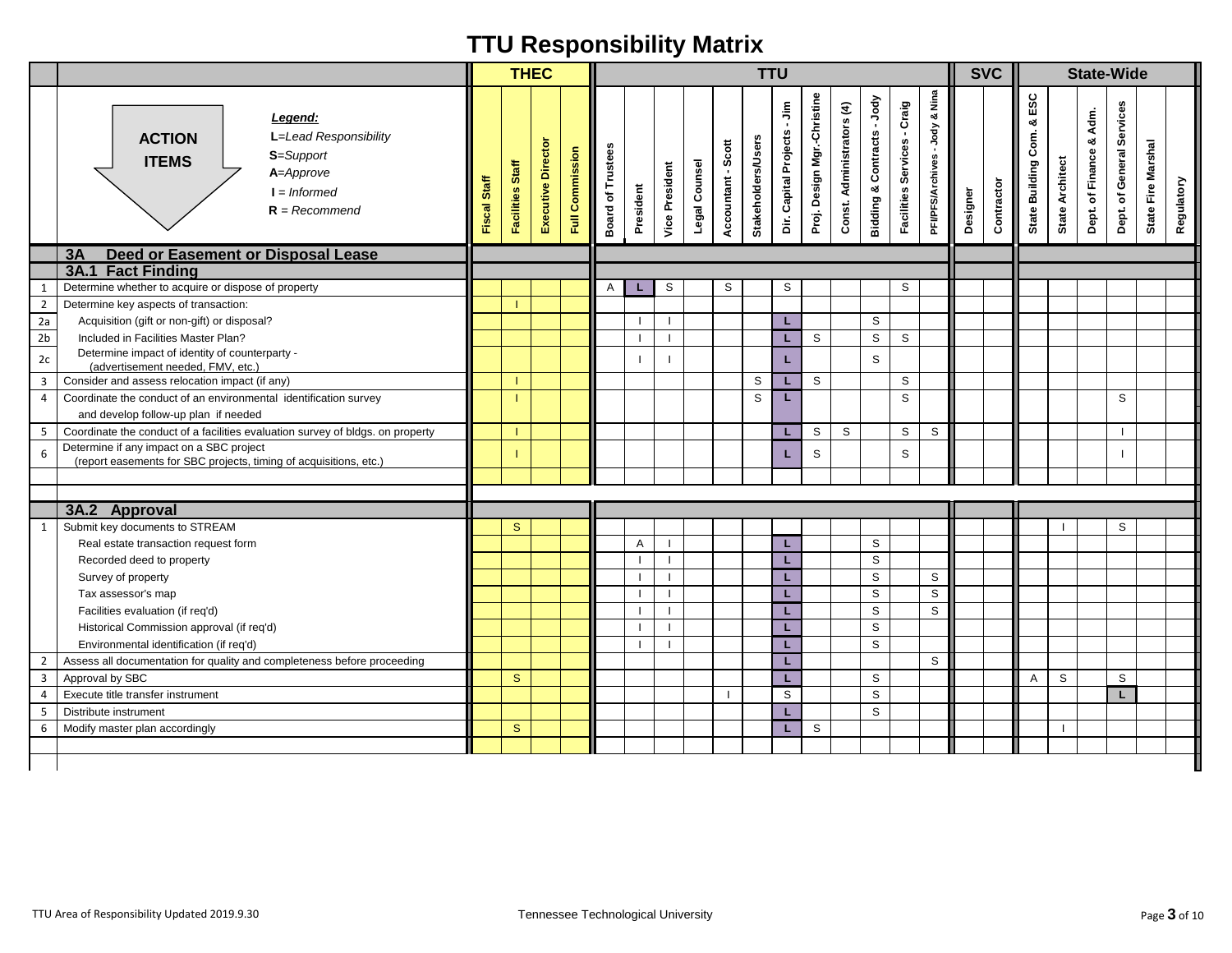|                      |                                                                                                                                  |              | <b>THEC</b>             |                    |                 |                                    |           |                          |               |                    | <b>TTU</b>                |                             |                             |                           |                                         |                                |                                               |          | <b>SVC</b> |                                    |                                  | <b>State-Wide</b>       |                           |                                  |
|----------------------|----------------------------------------------------------------------------------------------------------------------------------|--------------|-------------------------|--------------------|-----------------|------------------------------------|-----------|--------------------------|---------------|--------------------|---------------------------|-----------------------------|-----------------------------|---------------------------|-----------------------------------------|--------------------------------|-----------------------------------------------|----------|------------|------------------------------------|----------------------------------|-------------------------|---------------------------|----------------------------------|
|                      | Legend:<br>L=Lead Responsibility<br><b>ACTION</b><br>S=Support<br><b>ITEMS</b><br>A=Approve<br>$I = Informed$<br>$R = Recommend$ | Fiscal Staff | <b>Facilities Staff</b> | Executive Director | Full Commission | <b>Board of Trustees</b>           | President | <b>Vice President</b>    | Legal Counsel | Accountant - Scott | <b>Stakeholders/Users</b> | Dir. Capital Projects - Jim | Proj. Design Mgr.-Christine | Const. Administrators (4) | -Jody<br><b>Bidding &amp; Contracts</b> | - Craig<br>Facilities Services | Nina<br>ೲ<br>-Jody<br><b>PFI/PFS/Archives</b> | Designer | Contractor | ESC<br>య<br>Com.<br>State Building | <b>Architect</b><br><b>State</b> | Dept. of Finance & Adm. | Dept. of General Services | State Fire Marshal<br>Regulatory |
|                      | <b>Deed or Easement or Disposal Lease</b><br>3A                                                                                  |              |                         |                    |                 |                                    |           |                          |               |                    |                           |                             |                             |                           |                                         |                                |                                               |          |            |                                    |                                  |                         |                           |                                  |
|                      | <b>3A.1 Fact Finding</b>                                                                                                         |              |                         |                    |                 |                                    |           |                          |               |                    |                           |                             |                             |                           |                                         |                                |                                               |          |            |                                    |                                  |                         |                           |                                  |
| -1                   | Determine whether to acquire or dispose of property                                                                              |              |                         |                    |                 | A                                  |           | S                        |               | S                  |                           | S                           |                             |                           |                                         | S                              |                                               |          |            |                                    |                                  |                         |                           |                                  |
| $\overline{2}$<br>2a | Determine key aspects of transaction:<br>Acquisition (gift or non-gift) or disposal?                                             |              |                         |                    |                 |                                    |           |                          |               |                    |                           | L.                          |                             |                           | S                                       |                                |                                               |          |            |                                    |                                  |                         |                           |                                  |
| 2 <sub>b</sub>       | Included in Facilities Master Plan?                                                                                              |              |                         |                    |                 |                                    |           | $\overline{\phantom{a}}$ |               |                    |                           | L                           | S                           |                           | $\mathbb S$                             | S                              |                                               |          |            |                                    |                                  |                         |                           |                                  |
|                      | Determine impact of identity of counterparty -                                                                                   |              |                         |                    |                 |                                    |           |                          |               |                    |                           |                             |                             |                           |                                         |                                |                                               |          |            |                                    |                                  |                         |                           |                                  |
| 2c                   | (advertisement needed, FMV, etc.)                                                                                                |              |                         |                    |                 |                                    |           |                          |               |                    |                           | L                           |                             |                           | S                                       |                                |                                               |          |            |                                    |                                  |                         |                           |                                  |
| 3                    | Consider and assess relocation impact (if any)                                                                                   |              |                         |                    |                 |                                    |           |                          |               |                    | S                         | L                           | S                           |                           |                                         | $\mathbb S$                    |                                               |          |            |                                    |                                  |                         |                           |                                  |
| 4                    | Coordinate the conduct of an environmental identification survey<br>and develop follow-up plan if needed                         |              |                         |                    |                 |                                    |           |                          |               |                    | S                         | L                           |                             |                           |                                         | S                              |                                               |          |            |                                    |                                  |                         | S                         |                                  |
| 5                    | Coordinate the conduct of a facilities evaluation survey of bldgs. on property                                                   |              |                         |                    |                 |                                    |           |                          |               |                    |                           | L                           | S                           | S                         |                                         | $\mathbb S$                    | S                                             |          |            |                                    |                                  |                         |                           |                                  |
| 6                    | Determine if any impact on a SBC project<br>(report easements for SBC projects, timing of acquisitions, etc.)                    |              |                         |                    |                 |                                    |           |                          |               |                    |                           | L                           | S                           |                           |                                         | S                              |                                               |          |            |                                    |                                  |                         |                           |                                  |
|                      |                                                                                                                                  |              |                         |                    |                 |                                    |           |                          |               |                    |                           |                             |                             |                           |                                         |                                |                                               |          |            |                                    |                                  |                         |                           |                                  |
|                      |                                                                                                                                  |              |                         |                    |                 |                                    |           |                          |               |                    |                           |                             |                             |                           |                                         |                                |                                               |          |            |                                    |                                  |                         |                           |                                  |
|                      | 3A.2 Approval                                                                                                                    |              |                         |                    |                 |                                    |           |                          |               |                    |                           |                             |                             |                           |                                         |                                |                                               |          |            |                                    |                                  |                         |                           |                                  |
| 1                    | Submit key documents to STREAM                                                                                                   |              | $\mathbf{s}$            |                    |                 |                                    |           |                          |               |                    |                           |                             |                             |                           |                                         |                                |                                               |          |            |                                    |                                  |                         | S                         |                                  |
|                      | Real estate transaction request form                                                                                             |              |                         |                    |                 |                                    | A         |                          |               |                    |                           | L                           |                             |                           | S                                       |                                |                                               |          |            |                                    |                                  |                         |                           |                                  |
|                      | Recorded deed to property                                                                                                        |              |                         |                    |                 |                                    |           | $\overline{\phantom{a}}$ |               |                    |                           | L                           |                             |                           | S                                       |                                |                                               |          |            |                                    |                                  |                         |                           |                                  |
|                      | Survey of property                                                                                                               |              |                         |                    |                 |                                    |           |                          |               |                    |                           | L                           |                             |                           | S                                       |                                | S                                             |          |            |                                    |                                  |                         |                           |                                  |
|                      | Tax assessor's map                                                                                                               |              |                         |                    |                 |                                    |           | $\overline{\phantom{a}}$ |               |                    |                           | L                           |                             |                           | S                                       |                                | $\mathbb S$                                   |          |            |                                    |                                  |                         |                           |                                  |
|                      | Facilities evaluation (if req'd)                                                                                                 |              |                         |                    |                 |                                    |           | $\overline{\phantom{a}}$ |               |                    |                           | L.                          |                             |                           | S                                       |                                | S                                             |          |            |                                    |                                  |                         |                           |                                  |
|                      | Historical Commission approval (if req'd)                                                                                        |              |                         |                    |                 |                                    |           | $\overline{1}$           |               |                    |                           | L                           |                             |                           | $\mathbb S$                             |                                |                                               |          |            |                                    |                                  |                         |                           |                                  |
|                      | Environmental identification (if req'd)                                                                                          |              |                         |                    |                 |                                    |           | $\overline{\phantom{a}}$ |               |                    |                           | L.                          |                             |                           | S                                       |                                |                                               |          |            |                                    |                                  |                         |                           |                                  |
| $\overline{2}$       | Assess all documentation for quality and completeness before proceeding                                                          |              |                         |                    |                 |                                    |           |                          |               |                    |                           | L.                          |                             |                           |                                         |                                | S                                             |          |            |                                    |                                  |                         |                           |                                  |
| $\overline{3}$       | Approval by SBC                                                                                                                  |              | $\mathbf{s}$            |                    |                 |                                    |           |                          |               |                    |                           | L                           |                             |                           | S                                       |                                |                                               |          |            | A                                  | S                                |                         | S                         |                                  |
| 4                    | Execute title transfer instrument                                                                                                |              |                         |                    |                 |                                    |           |                          |               | -1                 |                           | S                           |                             |                           | S                                       |                                |                                               |          |            |                                    |                                  |                         | L                         |                                  |
| 5                    | Distribute instrument                                                                                                            |              |                         |                    |                 |                                    |           |                          |               |                    |                           | L                           |                             |                           | S                                       |                                |                                               |          |            |                                    | $\blacksquare$                   |                         |                           |                                  |
| 6                    | Modify master plan accordingly                                                                                                   |              | $\mathbf{s}$            |                    |                 |                                    |           |                          |               |                    |                           | L.                          | S                           |                           |                                         |                                |                                               |          |            |                                    |                                  |                         |                           |                                  |
|                      |                                                                                                                                  |              |                         |                    |                 |                                    |           |                          |               |                    |                           |                             |                             |                           |                                         |                                |                                               |          |            |                                    |                                  |                         |                           |                                  |
|                      | TTU Area of Responsibility Updated 2019.9.30                                                                                     |              |                         |                    |                 | Tennessee Technological University |           |                          |               |                    |                           |                             |                             |                           |                                         |                                |                                               |          |            |                                    |                                  |                         |                           | Page 3 of 10                     |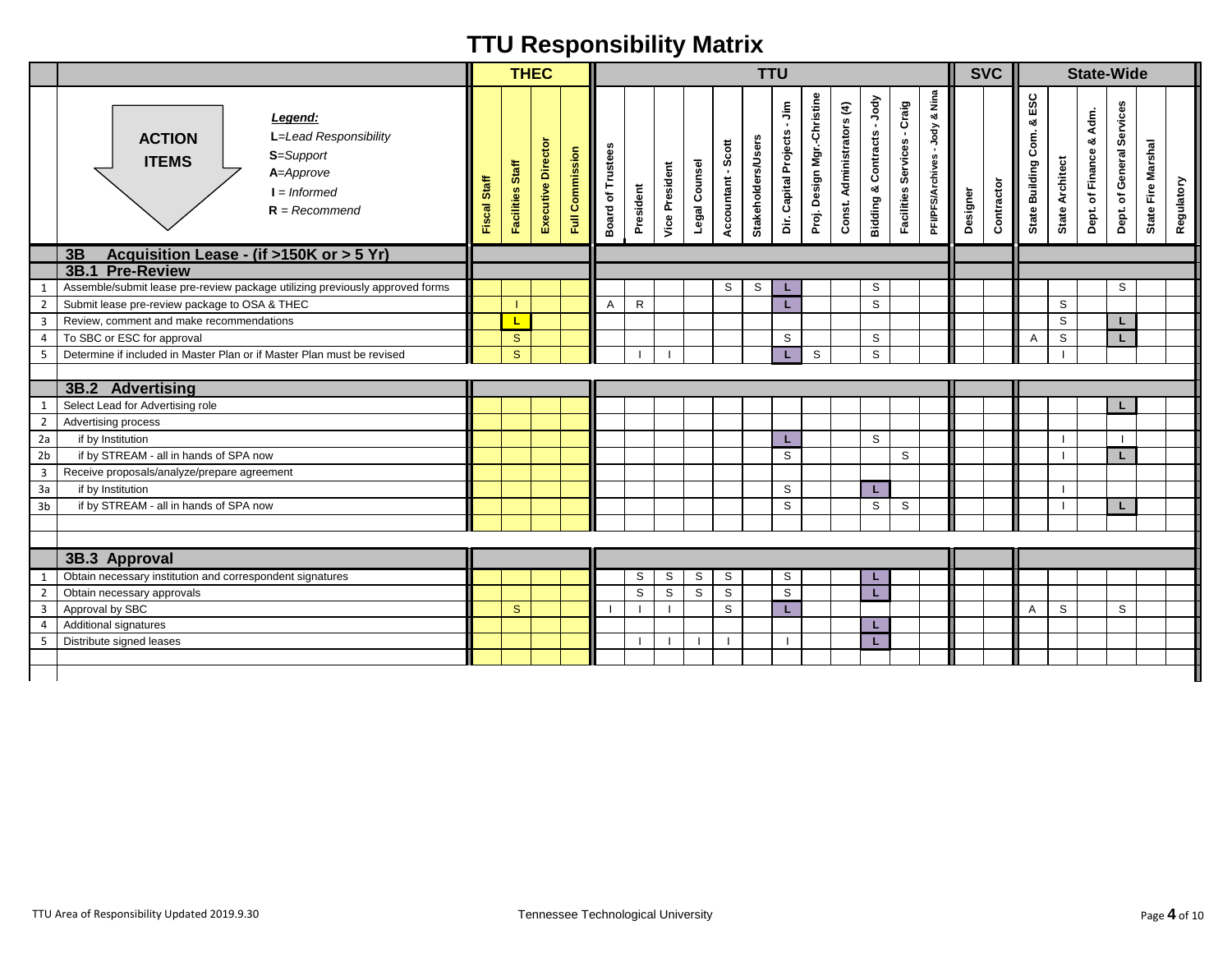|                                |                                                                                                                                  |              | <b>THEC</b>                  |                    |                 |                                    |              |                       |                  |                    | <b>TTU</b>                |                             |                             |                           |                            |                                       |                                  |          | <b>SVC</b> |                                           |                        |                         | <b>State-Wide</b>         |                                  |
|--------------------------------|----------------------------------------------------------------------------------------------------------------------------------|--------------|------------------------------|--------------------|-----------------|------------------------------------|--------------|-----------------------|------------------|--------------------|---------------------------|-----------------------------|-----------------------------|---------------------------|----------------------------|---------------------------------------|----------------------------------|----------|------------|-------------------------------------------|------------------------|-------------------------|---------------------------|----------------------------------|
|                                | Legend:<br>L=Lead Responsibility<br><b>ACTION</b><br>S=Support<br><b>ITEMS</b><br>A=Approve<br>$I = Informed$<br>$R = Recommend$ | Fiscal Staff | Facilities Staff             | Executive Director | Full Commission | <b>Board of Trustees</b>           | President    | <b>Vice President</b> | Legal Counsel    | Accountant - Scott | <b>Stakeholders/Users</b> | Dir. Capital Projects - Jim | Proj. Design Mgr.-Christine | Const. Administrators (4) | Bidding & Contracts - Jody | - Craig<br><b>Facilities Services</b> | & Nina<br>PFVPFS/Archives - Jody | Designer | Contractor | ESC<br>ಳ<br>Com.<br><b>State Building</b> | <b>State Architect</b> | Dept. of Finance & Adm. | Dept. of General Services | State Fire Marshal<br>Regulatory |
|                                | Acquisition Lease - (if >150K or > 5 Yr)<br>3B                                                                                   |              |                              |                    |                 |                                    |              |                       |                  |                    |                           |                             |                             |                           |                            |                                       |                                  |          |            |                                           |                        |                         |                           |                                  |
|                                | 3B.1 Pre-Review                                                                                                                  |              |                              |                    |                 |                                    |              |                       |                  |                    |                           |                             |                             |                           |                            |                                       |                                  |          |            |                                           |                        |                         |                           |                                  |
| 1                              | Assemble/submit lease pre-review package utilizing previously approved forms                                                     |              |                              |                    |                 |                                    |              |                       |                  | S                  | S                         | L                           |                             |                           | S                          |                                       |                                  |          |            |                                           |                        |                         | S                         |                                  |
| $\overline{2}$                 | Submit lease pre-review package to OSA & THEC                                                                                    |              |                              |                    |                 | Α                                  | $\mathsf{R}$ |                       |                  |                    |                           | L                           |                             |                           | S                          |                                       |                                  |          |            |                                           | S                      |                         |                           |                                  |
| $\overline{\mathbf{3}}$        | Review, comment and make recommendations                                                                                         |              | L                            |                    |                 |                                    |              |                       |                  |                    |                           |                             |                             |                           |                            |                                       |                                  |          |            |                                           | ${\tt S}$              |                         | L                         |                                  |
| 4                              | To SBC or ESC for approval                                                                                                       |              | $\mathbf{s}$<br>$\mathbf{s}$ |                    |                 |                                    |              | $\mathbf{I}$          |                  |                    |                           | S                           |                             |                           | S                          |                                       |                                  |          |            | Α                                         | S                      |                         | L                         |                                  |
| 5                              | Determine if included in Master Plan or if Master Plan must be revised                                                           |              |                              |                    |                 |                                    |              |                       |                  |                    |                           | L.                          | S                           |                           | S                          |                                       |                                  |          |            |                                           |                        |                         |                           |                                  |
|                                | 3B.2 Advertising                                                                                                                 |              |                              |                    |                 |                                    |              |                       |                  |                    |                           |                             |                             |                           |                            |                                       |                                  |          |            |                                           |                        |                         |                           |                                  |
|                                |                                                                                                                                  |              |                              |                    |                 |                                    |              |                       |                  |                    |                           |                             |                             |                           |                            |                                       |                                  |          |            |                                           |                        |                         |                           |                                  |
| $\mathbf{1}$                   | Select Lead for Advertising role                                                                                                 |              |                              |                    |                 |                                    |              |                       |                  |                    |                           |                             |                             |                           |                            |                                       |                                  |          |            |                                           |                        |                         |                           |                                  |
| $\overline{2}$<br>2a           | Advertising process                                                                                                              |              |                              |                    |                 |                                    |              |                       |                  |                    |                           |                             |                             |                           |                            |                                       |                                  |          |            |                                           |                        |                         |                           |                                  |
| 2 <sub>b</sub>                 | if by Institution<br>if by STREAM - all in hands of SPA now                                                                      |              |                              |                    |                 |                                    |              |                       |                  |                    |                           | L.                          |                             |                           | S                          |                                       |                                  |          |            |                                           |                        |                         |                           |                                  |
|                                |                                                                                                                                  |              |                              |                    |                 |                                    |              |                       |                  |                    |                           | S                           |                             |                           |                            | S                                     |                                  |          |            |                                           |                        |                         | L                         |                                  |
| $\mathsf 3$                    | Receive proposals/analyze/prepare agreement                                                                                      |              |                              |                    |                 |                                    |              |                       |                  |                    |                           |                             |                             |                           |                            |                                       |                                  |          |            |                                           |                        |                         |                           |                                  |
| 3a                             | if by Institution                                                                                                                |              |                              |                    |                 |                                    |              |                       |                  |                    |                           | S                           |                             |                           | L.                         |                                       |                                  |          |            |                                           |                        |                         |                           |                                  |
| 3 <sub>b</sub>                 | if by STREAM - all in hands of SPA now                                                                                           |              |                              |                    |                 |                                    |              |                       |                  |                    |                           | S                           |                             |                           | S                          | $\mathsf S$                           |                                  |          |            |                                           |                        |                         | L                         |                                  |
|                                |                                                                                                                                  |              |                              |                    |                 |                                    |              |                       |                  |                    |                           |                             |                             |                           |                            |                                       |                                  |          |            |                                           |                        |                         |                           |                                  |
|                                | 3B.3 Approval                                                                                                                    |              |                              |                    |                 |                                    |              |                       |                  |                    |                           |                             |                             |                           |                            |                                       |                                  |          |            |                                           |                        |                         |                           |                                  |
|                                |                                                                                                                                  |              |                              |                    |                 |                                    | S            | S                     |                  | S                  |                           | S                           |                             |                           |                            |                                       |                                  |          |            |                                           |                        |                         |                           |                                  |
| $\mathbf{1}$<br>$\overline{2}$ | Obtain necessary institution and correspondent signatures<br>Obtain necessary approvals                                          |              |                              |                    |                 |                                    | $\mathbb S$  | $\mathbb S$           | S<br>$\mathbb S$ | $\mathbb S$        |                           | $\mathsf S$                 |                             |                           | L<br>L.                    |                                       |                                  |          |            |                                           |                        |                         |                           |                                  |
| $\overline{3}$                 | Approval by SBC                                                                                                                  |              | $\mathbf{s}$                 |                    |                 |                                    | -1           | $\mathbf{I}$          |                  | S                  |                           | L.                          |                             |                           |                            |                                       |                                  |          |            | Α                                         | S                      |                         | S                         |                                  |
| $\overline{4}$                 | Additional signatures                                                                                                            |              |                              |                    |                 |                                    |              |                       |                  |                    |                           |                             |                             |                           | L                          |                                       |                                  |          |            |                                           |                        |                         |                           |                                  |
| 5                              | Distribute signed leases                                                                                                         |              |                              |                    |                 |                                    | -1           | $\mathbf{I}$          | -1               |                    |                           | $\mathbf{I}$                |                             |                           | L.                         |                                       |                                  |          |            |                                           |                        |                         |                           |                                  |
|                                |                                                                                                                                  |              |                              |                    |                 |                                    |              |                       |                  |                    |                           |                             |                             |                           |                            |                                       |                                  |          |            |                                           |                        |                         |                           |                                  |
|                                |                                                                                                                                  |              |                              |                    |                 |                                    |              |                       |                  |                    |                           |                             |                             |                           |                            |                                       |                                  |          |            |                                           |                        |                         |                           |                                  |
|                                |                                                                                                                                  |              |                              |                    |                 |                                    |              |                       |                  |                    |                           |                             |                             |                           |                            |                                       |                                  |          |            |                                           |                        |                         |                           |                                  |
|                                | TTU Area of Responsibility Updated 2019.9.30                                                                                     |              |                              |                    |                 | Tennessee Technological University |              |                       |                  |                    |                           |                             |                             |                           |                            |                                       |                                  |          |            |                                           |                        |                         |                           | Page 4 of 10                     |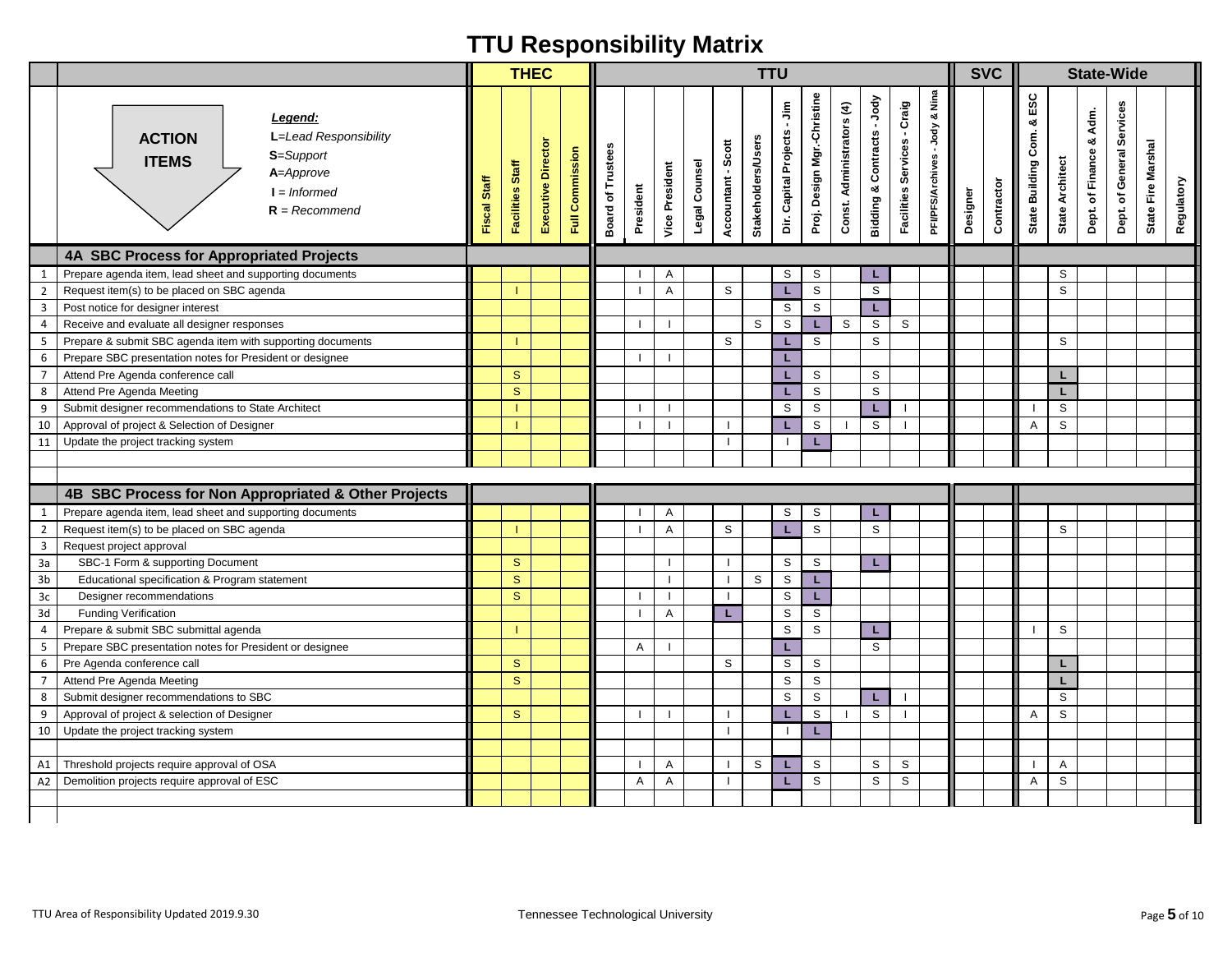| & Nina<br>Proj. Design Mgr.-Christine<br>ESC<br>Bidding & Contracts - Jody<br>Facilities Services - Craig<br>Dir. Capital Projects - Jim<br>Const. Administrators (4)<br>Dept. of General Services<br>Adm.<br>Legend:<br>య<br>-Jody<br>Com.<br>L=Lead Responsibility<br><b>ACTION</b><br><b>Stakeholders/Users</b><br>۰ð<br>Executive Director<br>Accountant - Scott<br><b>Board of Trustees</b><br><b>Full Commission</b><br>Dept. of Finance<br>S=Support<br><b>PFI/PFS/Archives</b><br><b>State Architect</b><br><b>ITEMS</b><br>Legal Counsel<br><b>Facilities Staff</b><br><b>Vice President</b><br>State Building<br>A=Approve<br>Fiscal Staff<br>Contractor<br>President<br>Designer<br>$I = Informed$<br>$R = Recommend$<br>4A SBC Process for Appropriated Projects<br>S<br>S<br>Prepare agenda item, lead sheet and supporting documents<br>S<br>Α<br>$\mathbf{1}$<br>ч.<br>$\mathbb S$<br>S<br>S<br>S<br>Request item(s) to be placed on SBC agenda<br>A<br>L.<br>$\overline{2}$<br>$\mathsf S$<br>$\overline{3}$<br>S<br>Post notice for designer interest<br>L.<br>S<br>Receive and evaluate all designer responses<br>S<br>L<br>S<br>S<br>S<br>$\overline{4}$<br>S<br>S<br>S<br>S<br>5<br>Prepare & submit SBC agenda item with supporting documents<br>L<br>Prepare SBC presentation notes for President or designee<br>L.<br>6<br>S<br>S<br>Attend Pre Agenda conference call<br>$\mathbf{s}$<br>$\overline{7}$<br>L<br>L.<br>$\mathsf S$<br>$\mathbf{s}$<br>S<br>L.<br>8<br>Attend Pre Agenda Meeting<br>г<br>$\mathbb S$<br>S<br>9<br>Submit designer recommendations to State Architect<br>S<br>L.<br>$\perp$<br>$\mathsf S$<br>$\mathbb S$<br>S<br>Approval of project & Selection of Designer<br>10<br>L.<br>Α<br>11<br>Update the project tracking system<br>L<br>$\mathbf{I}$<br>4B SBC Process for Non Appropriated & Other Projects<br>Prepare agenda item, lead sheet and supporting documents<br>S<br>S<br>$\mathbf{1}$<br>Α<br>L<br>$\mathbb S$<br>$\overline{2}$<br>Request item(s) to be placed on SBC agenda<br>S<br>S<br>L<br>S<br>Α<br>$\mathbf{3}$<br>Request project approval<br>SBC-1 Form & supporting Document<br>$\mathbf S$<br>S<br>S<br>3a<br>L<br>$\mathbf{s}$<br>S<br>S<br>3 <sub>b</sub><br>Educational specification & Program statement<br>L.<br>$3\mathrm{c}$<br>Designer recommendations<br>S<br>S<br>L.<br>3d<br><b>Funding Verification</b><br>S<br>S<br>Α<br>L<br>$\mathbb S$<br>$\mathsf S$<br>S<br>4<br>Prepare & submit SBC submittal agenda<br>L.<br>S<br>Prepare SBC presentation notes for President or designee<br>L<br>5<br>A<br>$\mathbf{s}$<br>S<br>S<br>S<br>Pre Agenda conference call<br>6<br>L.<br>$\mathsf S$<br>$\overline{7}$<br>$\mathbf{s}$<br>S<br>Attend Pre Agenda Meeting<br>L.<br>$\mathsf{s}$<br>$\mathsf S$<br>8<br>Submit designer recommendations to SBC<br>S | State Fire Marshal<br>Regulatory |
|----------------------------------------------------------------------------------------------------------------------------------------------------------------------------------------------------------------------------------------------------------------------------------------------------------------------------------------------------------------------------------------------------------------------------------------------------------------------------------------------------------------------------------------------------------------------------------------------------------------------------------------------------------------------------------------------------------------------------------------------------------------------------------------------------------------------------------------------------------------------------------------------------------------------------------------------------------------------------------------------------------------------------------------------------------------------------------------------------------------------------------------------------------------------------------------------------------------------------------------------------------------------------------------------------------------------------------------------------------------------------------------------------------------------------------------------------------------------------------------------------------------------------------------------------------------------------------------------------------------------------------------------------------------------------------------------------------------------------------------------------------------------------------------------------------------------------------------------------------------------------------------------------------------------------------------------------------------------------------------------------------------------------------------------------------------------------------------------------------------------------------------------------------------------------------------------------------------------------------------------------------------------------------------------------------------------------------------------------------------------------------------------------------------------------------------------------------------------------------------------------------------------------------------------------------------------------------------------------------------------------------------------------------------------------------------------------------------------------------------------------------------------------------------------------------------------------------------------|----------------------------------|
|                                                                                                                                                                                                                                                                                                                                                                                                                                                                                                                                                                                                                                                                                                                                                                                                                                                                                                                                                                                                                                                                                                                                                                                                                                                                                                                                                                                                                                                                                                                                                                                                                                                                                                                                                                                                                                                                                                                                                                                                                                                                                                                                                                                                                                                                                                                                                                                                                                                                                                                                                                                                                                                                                                                                                                                                                                              |                                  |
|                                                                                                                                                                                                                                                                                                                                                                                                                                                                                                                                                                                                                                                                                                                                                                                                                                                                                                                                                                                                                                                                                                                                                                                                                                                                                                                                                                                                                                                                                                                                                                                                                                                                                                                                                                                                                                                                                                                                                                                                                                                                                                                                                                                                                                                                                                                                                                                                                                                                                                                                                                                                                                                                                                                                                                                                                                              |                                  |
|                                                                                                                                                                                                                                                                                                                                                                                                                                                                                                                                                                                                                                                                                                                                                                                                                                                                                                                                                                                                                                                                                                                                                                                                                                                                                                                                                                                                                                                                                                                                                                                                                                                                                                                                                                                                                                                                                                                                                                                                                                                                                                                                                                                                                                                                                                                                                                                                                                                                                                                                                                                                                                                                                                                                                                                                                                              |                                  |
|                                                                                                                                                                                                                                                                                                                                                                                                                                                                                                                                                                                                                                                                                                                                                                                                                                                                                                                                                                                                                                                                                                                                                                                                                                                                                                                                                                                                                                                                                                                                                                                                                                                                                                                                                                                                                                                                                                                                                                                                                                                                                                                                                                                                                                                                                                                                                                                                                                                                                                                                                                                                                                                                                                                                                                                                                                              |                                  |
|                                                                                                                                                                                                                                                                                                                                                                                                                                                                                                                                                                                                                                                                                                                                                                                                                                                                                                                                                                                                                                                                                                                                                                                                                                                                                                                                                                                                                                                                                                                                                                                                                                                                                                                                                                                                                                                                                                                                                                                                                                                                                                                                                                                                                                                                                                                                                                                                                                                                                                                                                                                                                                                                                                                                                                                                                                              |                                  |
|                                                                                                                                                                                                                                                                                                                                                                                                                                                                                                                                                                                                                                                                                                                                                                                                                                                                                                                                                                                                                                                                                                                                                                                                                                                                                                                                                                                                                                                                                                                                                                                                                                                                                                                                                                                                                                                                                                                                                                                                                                                                                                                                                                                                                                                                                                                                                                                                                                                                                                                                                                                                                                                                                                                                                                                                                                              |                                  |
|                                                                                                                                                                                                                                                                                                                                                                                                                                                                                                                                                                                                                                                                                                                                                                                                                                                                                                                                                                                                                                                                                                                                                                                                                                                                                                                                                                                                                                                                                                                                                                                                                                                                                                                                                                                                                                                                                                                                                                                                                                                                                                                                                                                                                                                                                                                                                                                                                                                                                                                                                                                                                                                                                                                                                                                                                                              |                                  |
|                                                                                                                                                                                                                                                                                                                                                                                                                                                                                                                                                                                                                                                                                                                                                                                                                                                                                                                                                                                                                                                                                                                                                                                                                                                                                                                                                                                                                                                                                                                                                                                                                                                                                                                                                                                                                                                                                                                                                                                                                                                                                                                                                                                                                                                                                                                                                                                                                                                                                                                                                                                                                                                                                                                                                                                                                                              |                                  |
|                                                                                                                                                                                                                                                                                                                                                                                                                                                                                                                                                                                                                                                                                                                                                                                                                                                                                                                                                                                                                                                                                                                                                                                                                                                                                                                                                                                                                                                                                                                                                                                                                                                                                                                                                                                                                                                                                                                                                                                                                                                                                                                                                                                                                                                                                                                                                                                                                                                                                                                                                                                                                                                                                                                                                                                                                                              |                                  |
|                                                                                                                                                                                                                                                                                                                                                                                                                                                                                                                                                                                                                                                                                                                                                                                                                                                                                                                                                                                                                                                                                                                                                                                                                                                                                                                                                                                                                                                                                                                                                                                                                                                                                                                                                                                                                                                                                                                                                                                                                                                                                                                                                                                                                                                                                                                                                                                                                                                                                                                                                                                                                                                                                                                                                                                                                                              |                                  |
|                                                                                                                                                                                                                                                                                                                                                                                                                                                                                                                                                                                                                                                                                                                                                                                                                                                                                                                                                                                                                                                                                                                                                                                                                                                                                                                                                                                                                                                                                                                                                                                                                                                                                                                                                                                                                                                                                                                                                                                                                                                                                                                                                                                                                                                                                                                                                                                                                                                                                                                                                                                                                                                                                                                                                                                                                                              |                                  |
|                                                                                                                                                                                                                                                                                                                                                                                                                                                                                                                                                                                                                                                                                                                                                                                                                                                                                                                                                                                                                                                                                                                                                                                                                                                                                                                                                                                                                                                                                                                                                                                                                                                                                                                                                                                                                                                                                                                                                                                                                                                                                                                                                                                                                                                                                                                                                                                                                                                                                                                                                                                                                                                                                                                                                                                                                                              |                                  |
|                                                                                                                                                                                                                                                                                                                                                                                                                                                                                                                                                                                                                                                                                                                                                                                                                                                                                                                                                                                                                                                                                                                                                                                                                                                                                                                                                                                                                                                                                                                                                                                                                                                                                                                                                                                                                                                                                                                                                                                                                                                                                                                                                                                                                                                                                                                                                                                                                                                                                                                                                                                                                                                                                                                                                                                                                                              |                                  |
|                                                                                                                                                                                                                                                                                                                                                                                                                                                                                                                                                                                                                                                                                                                                                                                                                                                                                                                                                                                                                                                                                                                                                                                                                                                                                                                                                                                                                                                                                                                                                                                                                                                                                                                                                                                                                                                                                                                                                                                                                                                                                                                                                                                                                                                                                                                                                                                                                                                                                                                                                                                                                                                                                                                                                                                                                                              |                                  |
|                                                                                                                                                                                                                                                                                                                                                                                                                                                                                                                                                                                                                                                                                                                                                                                                                                                                                                                                                                                                                                                                                                                                                                                                                                                                                                                                                                                                                                                                                                                                                                                                                                                                                                                                                                                                                                                                                                                                                                                                                                                                                                                                                                                                                                                                                                                                                                                                                                                                                                                                                                                                                                                                                                                                                                                                                                              |                                  |
|                                                                                                                                                                                                                                                                                                                                                                                                                                                                                                                                                                                                                                                                                                                                                                                                                                                                                                                                                                                                                                                                                                                                                                                                                                                                                                                                                                                                                                                                                                                                                                                                                                                                                                                                                                                                                                                                                                                                                                                                                                                                                                                                                                                                                                                                                                                                                                                                                                                                                                                                                                                                                                                                                                                                                                                                                                              |                                  |
|                                                                                                                                                                                                                                                                                                                                                                                                                                                                                                                                                                                                                                                                                                                                                                                                                                                                                                                                                                                                                                                                                                                                                                                                                                                                                                                                                                                                                                                                                                                                                                                                                                                                                                                                                                                                                                                                                                                                                                                                                                                                                                                                                                                                                                                                                                                                                                                                                                                                                                                                                                                                                                                                                                                                                                                                                                              |                                  |
|                                                                                                                                                                                                                                                                                                                                                                                                                                                                                                                                                                                                                                                                                                                                                                                                                                                                                                                                                                                                                                                                                                                                                                                                                                                                                                                                                                                                                                                                                                                                                                                                                                                                                                                                                                                                                                                                                                                                                                                                                                                                                                                                                                                                                                                                                                                                                                                                                                                                                                                                                                                                                                                                                                                                                                                                                                              |                                  |
|                                                                                                                                                                                                                                                                                                                                                                                                                                                                                                                                                                                                                                                                                                                                                                                                                                                                                                                                                                                                                                                                                                                                                                                                                                                                                                                                                                                                                                                                                                                                                                                                                                                                                                                                                                                                                                                                                                                                                                                                                                                                                                                                                                                                                                                                                                                                                                                                                                                                                                                                                                                                                                                                                                                                                                                                                                              |                                  |
|                                                                                                                                                                                                                                                                                                                                                                                                                                                                                                                                                                                                                                                                                                                                                                                                                                                                                                                                                                                                                                                                                                                                                                                                                                                                                                                                                                                                                                                                                                                                                                                                                                                                                                                                                                                                                                                                                                                                                                                                                                                                                                                                                                                                                                                                                                                                                                                                                                                                                                                                                                                                                                                                                                                                                                                                                                              |                                  |
|                                                                                                                                                                                                                                                                                                                                                                                                                                                                                                                                                                                                                                                                                                                                                                                                                                                                                                                                                                                                                                                                                                                                                                                                                                                                                                                                                                                                                                                                                                                                                                                                                                                                                                                                                                                                                                                                                                                                                                                                                                                                                                                                                                                                                                                                                                                                                                                                                                                                                                                                                                                                                                                                                                                                                                                                                                              |                                  |
|                                                                                                                                                                                                                                                                                                                                                                                                                                                                                                                                                                                                                                                                                                                                                                                                                                                                                                                                                                                                                                                                                                                                                                                                                                                                                                                                                                                                                                                                                                                                                                                                                                                                                                                                                                                                                                                                                                                                                                                                                                                                                                                                                                                                                                                                                                                                                                                                                                                                                                                                                                                                                                                                                                                                                                                                                                              |                                  |
|                                                                                                                                                                                                                                                                                                                                                                                                                                                                                                                                                                                                                                                                                                                                                                                                                                                                                                                                                                                                                                                                                                                                                                                                                                                                                                                                                                                                                                                                                                                                                                                                                                                                                                                                                                                                                                                                                                                                                                                                                                                                                                                                                                                                                                                                                                                                                                                                                                                                                                                                                                                                                                                                                                                                                                                                                                              |                                  |
|                                                                                                                                                                                                                                                                                                                                                                                                                                                                                                                                                                                                                                                                                                                                                                                                                                                                                                                                                                                                                                                                                                                                                                                                                                                                                                                                                                                                                                                                                                                                                                                                                                                                                                                                                                                                                                                                                                                                                                                                                                                                                                                                                                                                                                                                                                                                                                                                                                                                                                                                                                                                                                                                                                                                                                                                                                              |                                  |
|                                                                                                                                                                                                                                                                                                                                                                                                                                                                                                                                                                                                                                                                                                                                                                                                                                                                                                                                                                                                                                                                                                                                                                                                                                                                                                                                                                                                                                                                                                                                                                                                                                                                                                                                                                                                                                                                                                                                                                                                                                                                                                                                                                                                                                                                                                                                                                                                                                                                                                                                                                                                                                                                                                                                                                                                                                              |                                  |
|                                                                                                                                                                                                                                                                                                                                                                                                                                                                                                                                                                                                                                                                                                                                                                                                                                                                                                                                                                                                                                                                                                                                                                                                                                                                                                                                                                                                                                                                                                                                                                                                                                                                                                                                                                                                                                                                                                                                                                                                                                                                                                                                                                                                                                                                                                                                                                                                                                                                                                                                                                                                                                                                                                                                                                                                                                              |                                  |
|                                                                                                                                                                                                                                                                                                                                                                                                                                                                                                                                                                                                                                                                                                                                                                                                                                                                                                                                                                                                                                                                                                                                                                                                                                                                                                                                                                                                                                                                                                                                                                                                                                                                                                                                                                                                                                                                                                                                                                                                                                                                                                                                                                                                                                                                                                                                                                                                                                                                                                                                                                                                                                                                                                                                                                                                                                              |                                  |
| S<br>S<br>S<br>Approval of project & selection of Designer<br>$\mathbf{s}$<br>L.<br>9<br>Α                                                                                                                                                                                                                                                                                                                                                                                                                                                                                                                                                                                                                                                                                                                                                                                                                                                                                                                                                                                                                                                                                                                                                                                                                                                                                                                                                                                                                                                                                                                                                                                                                                                                                                                                                                                                                                                                                                                                                                                                                                                                                                                                                                                                                                                                                                                                                                                                                                                                                                                                                                                                                                                                                                                                                   |                                  |
| 10<br>Update the project tracking system<br>L<br>$\perp$                                                                                                                                                                                                                                                                                                                                                                                                                                                                                                                                                                                                                                                                                                                                                                                                                                                                                                                                                                                                                                                                                                                                                                                                                                                                                                                                                                                                                                                                                                                                                                                                                                                                                                                                                                                                                                                                                                                                                                                                                                                                                                                                                                                                                                                                                                                                                                                                                                                                                                                                                                                                                                                                                                                                                                                     |                                  |
|                                                                                                                                                                                                                                                                                                                                                                                                                                                                                                                                                                                                                                                                                                                                                                                                                                                                                                                                                                                                                                                                                                                                                                                                                                                                                                                                                                                                                                                                                                                                                                                                                                                                                                                                                                                                                                                                                                                                                                                                                                                                                                                                                                                                                                                                                                                                                                                                                                                                                                                                                                                                                                                                                                                                                                                                                                              |                                  |
| Threshold projects require approval of OSA<br>S<br>S<br>S<br>S<br>Α<br>Α<br>A1<br>L.                                                                                                                                                                                                                                                                                                                                                                                                                                                                                                                                                                                                                                                                                                                                                                                                                                                                                                                                                                                                                                                                                                                                                                                                                                                                                                                                                                                                                                                                                                                                                                                                                                                                                                                                                                                                                                                                                                                                                                                                                                                                                                                                                                                                                                                                                                                                                                                                                                                                                                                                                                                                                                                                                                                                                         |                                  |
| Demolition projects require approval of ESC<br>$\mbox{\textsc{s}}$<br>S<br>S<br>S<br>A <sub>2</sub><br>Α<br>Α<br>L.<br>Α                                                                                                                                                                                                                                                                                                                                                                                                                                                                                                                                                                                                                                                                                                                                                                                                                                                                                                                                                                                                                                                                                                                                                                                                                                                                                                                                                                                                                                                                                                                                                                                                                                                                                                                                                                                                                                                                                                                                                                                                                                                                                                                                                                                                                                                                                                                                                                                                                                                                                                                                                                                                                                                                                                                     |                                  |
|                                                                                                                                                                                                                                                                                                                                                                                                                                                                                                                                                                                                                                                                                                                                                                                                                                                                                                                                                                                                                                                                                                                                                                                                                                                                                                                                                                                                                                                                                                                                                                                                                                                                                                                                                                                                                                                                                                                                                                                                                                                                                                                                                                                                                                                                                                                                                                                                                                                                                                                                                                                                                                                                                                                                                                                                                                              |                                  |
| TTU Area of Responsibility Updated 2019.9.30<br>Tennessee Technological University                                                                                                                                                                                                                                                                                                                                                                                                                                                                                                                                                                                                                                                                                                                                                                                                                                                                                                                                                                                                                                                                                                                                                                                                                                                                                                                                                                                                                                                                                                                                                                                                                                                                                                                                                                                                                                                                                                                                                                                                                                                                                                                                                                                                                                                                                                                                                                                                                                                                                                                                                                                                                                                                                                                                                           |                                  |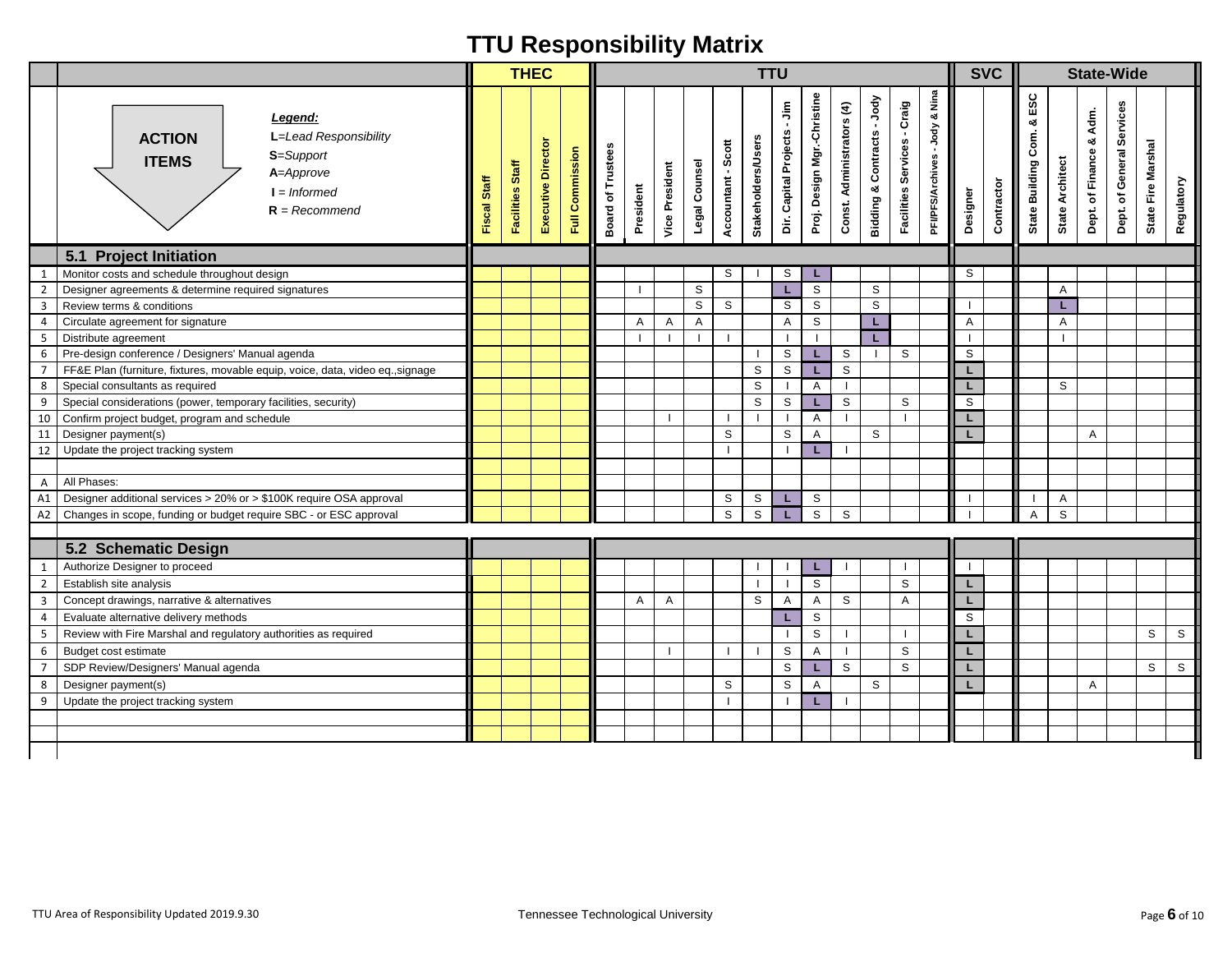|                |                                                                                                                                  |              | <b>THEC</b>      |                    |                 |                                    |           |                       |                |                    |                           | <b>TTU</b>                  |                             |                           |                            |                                       |                                  |                | <b>SVC</b> |                                    |                        |                                | <b>State-Wide</b>         |                    |            |
|----------------|----------------------------------------------------------------------------------------------------------------------------------|--------------|------------------|--------------------|-----------------|------------------------------------|-----------|-----------------------|----------------|--------------------|---------------------------|-----------------------------|-----------------------------|---------------------------|----------------------------|---------------------------------------|----------------------------------|----------------|------------|------------------------------------|------------------------|--------------------------------|---------------------------|--------------------|------------|
|                | Legend:<br>L=Lead Responsibility<br><b>ACTION</b><br>S=Support<br><b>ITEMS</b><br>A=Approve<br>$I = Informed$<br>$R = Recommend$ | Fiscal Staff | Facilities Staff | Executive Director | Full Commission | <b>Board of Trustees</b>           | President | <b>Vice President</b> | Legal Counsel  | Accountant - Scott | <b>Stakeholders/Users</b> | Dir. Capital Projects - Jim | Proj. Design Mgr.-Christine | Const. Administrators (4) | Bidding & Contracts - Jody | - Craig<br><b>Facilities Services</b> | & Nina<br>PFVPFS/Archives - Jody | Designer       | Contractor | ESC<br>ಳ<br>Com.<br>State Building | <b>State Architect</b> | Adm.<br>۰ð<br>Dept. of Finance | Dept. of General Services | State Fire Marshal | Regulatory |
|                | 5.1 Project Initiation                                                                                                           |              |                  |                    |                 |                                    |           |                       |                |                    |                           |                             |                             |                           |                            |                                       |                                  |                |            |                                    |                        |                                |                           |                    |            |
| 1              | Monitor costs and schedule throughout design                                                                                     |              |                  |                    |                 |                                    |           |                       |                | S                  |                           | S                           | L.                          |                           |                            |                                       |                                  | S              |            |                                    |                        |                                |                           |                    |            |
| $\overline{2}$ | Designer agreements & determine required signatures                                                                              |              |                  |                    |                 |                                    |           |                       | S              |                    |                           | L.                          | $\overline{s}$              |                           | S                          |                                       |                                  |                |            |                                    | A                      |                                |                           |                    |            |
| $\overline{3}$ | Review terms & conditions                                                                                                        |              |                  |                    |                 |                                    |           |                       | $\mathsf{s}$   | S                  |                           | S                           | $\mathbb S$                 |                           | S                          |                                       |                                  |                |            |                                    | L                      |                                |                           |                    |            |
| 4              | Circulate agreement for signature                                                                                                |              |                  |                    |                 |                                    | A         | A                     | $\overline{A}$ |                    |                           | $\mathsf{A}$                | $\mathbb S$                 |                           | L.                         |                                       |                                  | $\overline{A}$ |            |                                    | Α                      |                                |                           |                    |            |
| 5              | Distribute agreement                                                                                                             |              |                  |                    |                 |                                    |           | $\mathbf{I}$          |                |                    |                           | $\mathbf{I}$                | $\blacksquare$              |                           |                            |                                       |                                  |                |            |                                    |                        |                                |                           |                    |            |
| 6              | Pre-design conference / Designers' Manual agenda                                                                                 |              |                  |                    |                 |                                    |           |                       |                |                    | -1                        | S                           | L.                          | S                         |                            | S                                     |                                  | $\mathbb S$    |            |                                    |                        |                                |                           |                    |            |
| $\overline{7}$ | FF&E Plan (furniture, fixtures, movable equip, voice, data, video eq., signage                                                   |              |                  |                    |                 |                                    |           |                       |                |                    | S                         | $\mathbb S$                 | L.                          | $\mathsf{s}$              |                            |                                       |                                  | L.             |            |                                    |                        |                                |                           |                    |            |
| 8              | Special consultants as required                                                                                                  |              |                  |                    |                 |                                    |           |                       |                |                    | S                         | $\mathbf{1}$                | $\overline{A}$              | $\mathbf{L}$              |                            |                                       |                                  | L.             |            |                                    | S                      |                                |                           |                    |            |
| 9              | Special considerations (power, temporary facilities, security)                                                                   |              |                  |                    |                 |                                    |           |                       |                |                    | S                         | S                           | L.                          | S                         |                            | S                                     |                                  | S              |            |                                    |                        |                                |                           |                    |            |
| 10             | Confirm project budget, program and schedule                                                                                     |              |                  |                    |                 |                                    |           |                       |                | - 1                |                           |                             | A                           | $\mathbf{I}$              |                            |                                       |                                  | L              |            |                                    |                        |                                |                           |                    |            |
| 11             | Designer payment(s)                                                                                                              |              |                  |                    |                 |                                    |           |                       |                | S                  |                           | S                           | A                           |                           | S                          |                                       |                                  | L.             |            |                                    |                        | A                              |                           |                    |            |
| 12             | Update the project tracking system                                                                                               |              |                  |                    |                 |                                    |           |                       |                | $\mathbf{I}$       |                           | $\mathbf{I}$                | L                           |                           |                            |                                       |                                  |                |            |                                    |                        |                                |                           |                    |            |
|                | All Phases:                                                                                                                      |              |                  |                    |                 |                                    |           |                       |                |                    |                           |                             |                             |                           |                            |                                       |                                  |                |            |                                    |                        |                                |                           |                    |            |
| A              |                                                                                                                                  |              |                  |                    |                 |                                    |           |                       |                |                    |                           |                             |                             |                           |                            |                                       |                                  |                |            |                                    |                        |                                |                           |                    |            |
| A1             | Designer additional services > 20% or > \$100K require OSA approval                                                              |              |                  |                    |                 |                                    |           |                       |                | S                  | S                         | L.<br>L                     | S<br>$\mathsf S$            |                           |                            |                                       |                                  |                |            | A                                  | Α<br>S                 |                                |                           |                    |            |
| A <sub>2</sub> | Changes in scope, funding or budget require SBC - or ESC approval                                                                |              |                  |                    |                 |                                    |           |                       |                | S                  | S                         |                             |                             | S                         |                            |                                       |                                  |                |            |                                    |                        |                                |                           |                    |            |
|                | 5.2 Schematic Design                                                                                                             |              |                  |                    |                 |                                    |           |                       |                |                    |                           |                             |                             |                           |                            |                                       |                                  |                |            |                                    |                        |                                |                           |                    |            |
| $\mathbf{1}$   | Authorize Designer to proceed                                                                                                    |              |                  |                    |                 |                                    |           |                       |                |                    |                           |                             | L                           |                           |                            |                                       |                                  | $\mathbf{I}$   |            |                                    |                        |                                |                           |                    |            |
| $\overline{2}$ | Establish site analysis                                                                                                          |              |                  |                    |                 |                                    |           |                       |                |                    | $\mathbf{I}$              | $\mathbf{1}$                | $\mathbb S$                 |                           |                            | S                                     |                                  | L.             |            |                                    |                        |                                |                           |                    |            |
| $\mathbf{3}$   | Concept drawings, narrative & alternatives                                                                                       |              |                  |                    |                 |                                    | A         | A                     |                |                    | S                         | $\overline{A}$              | A                           | S                         |                            | A                                     |                                  | L              |            |                                    |                        |                                |                           |                    |            |
| 4              | Evaluate alternative delivery methods                                                                                            |              |                  |                    |                 |                                    |           |                       |                |                    |                           | L                           | $\mathbb S$                 |                           |                            |                                       |                                  | S              |            |                                    |                        |                                |                           |                    |            |
| 5              | Review with Fire Marshal and regulatory authorities as required                                                                  |              |                  |                    |                 |                                    |           |                       |                |                    |                           | $\mathbf{1}$                | $\mathbb S$                 | $\mathbf{L}$              |                            |                                       |                                  | L              |            |                                    |                        |                                |                           | S                  | S          |
| 6              | Budget cost estimate                                                                                                             |              |                  |                    |                 |                                    |           | $\mathbf{I}$          |                |                    |                           | $\mathbb S$                 | A                           | $\mathbf{I}$              |                            | $\mathbb S$                           |                                  | L              |            |                                    |                        |                                |                           |                    |            |
| $\overline{7}$ | SDP Review/Designers' Manual agenda                                                                                              |              |                  |                    |                 |                                    |           |                       |                |                    |                           | S                           | L.                          | $\mathsf{s}$              |                            | S                                     |                                  | L              |            |                                    |                        |                                |                           | S                  | S          |
| 8              | Designer payment(s)                                                                                                              |              |                  |                    |                 |                                    |           |                       |                | S                  |                           | S                           | A                           |                           | S                          |                                       |                                  | L              |            |                                    |                        | $\mathsf{A}$                   |                           |                    |            |
| 9              | Update the project tracking system                                                                                               |              |                  |                    |                 |                                    |           |                       |                |                    |                           | $\blacksquare$              | L                           |                           |                            |                                       |                                  |                |            |                                    |                        |                                |                           |                    |            |
|                |                                                                                                                                  |              |                  |                    |                 |                                    |           |                       |                |                    |                           |                             |                             |                           |                            |                                       |                                  |                |            |                                    |                        |                                |                           |                    |            |
|                |                                                                                                                                  |              |                  |                    |                 |                                    |           |                       |                |                    |                           |                             |                             |                           |                            |                                       |                                  |                |            |                                    |                        |                                |                           |                    |            |
|                |                                                                                                                                  |              |                  |                    |                 |                                    |           |                       |                |                    |                           |                             |                             |                           |                            |                                       |                                  |                |            |                                    |                        |                                |                           |                    |            |
|                |                                                                                                                                  |              |                  |                    |                 |                                    |           |                       |                |                    |                           |                             |                             |                           |                            |                                       |                                  |                |            |                                    |                        |                                |                           |                    |            |
|                | TTU Area of Responsibility Updated 2019.9.30                                                                                     |              |                  |                    |                 | Tennessee Technological University |           |                       |                |                    |                           |                             |                             |                           |                            |                                       |                                  |                |            |                                    |                        |                                |                           | Page 6 of 10       |            |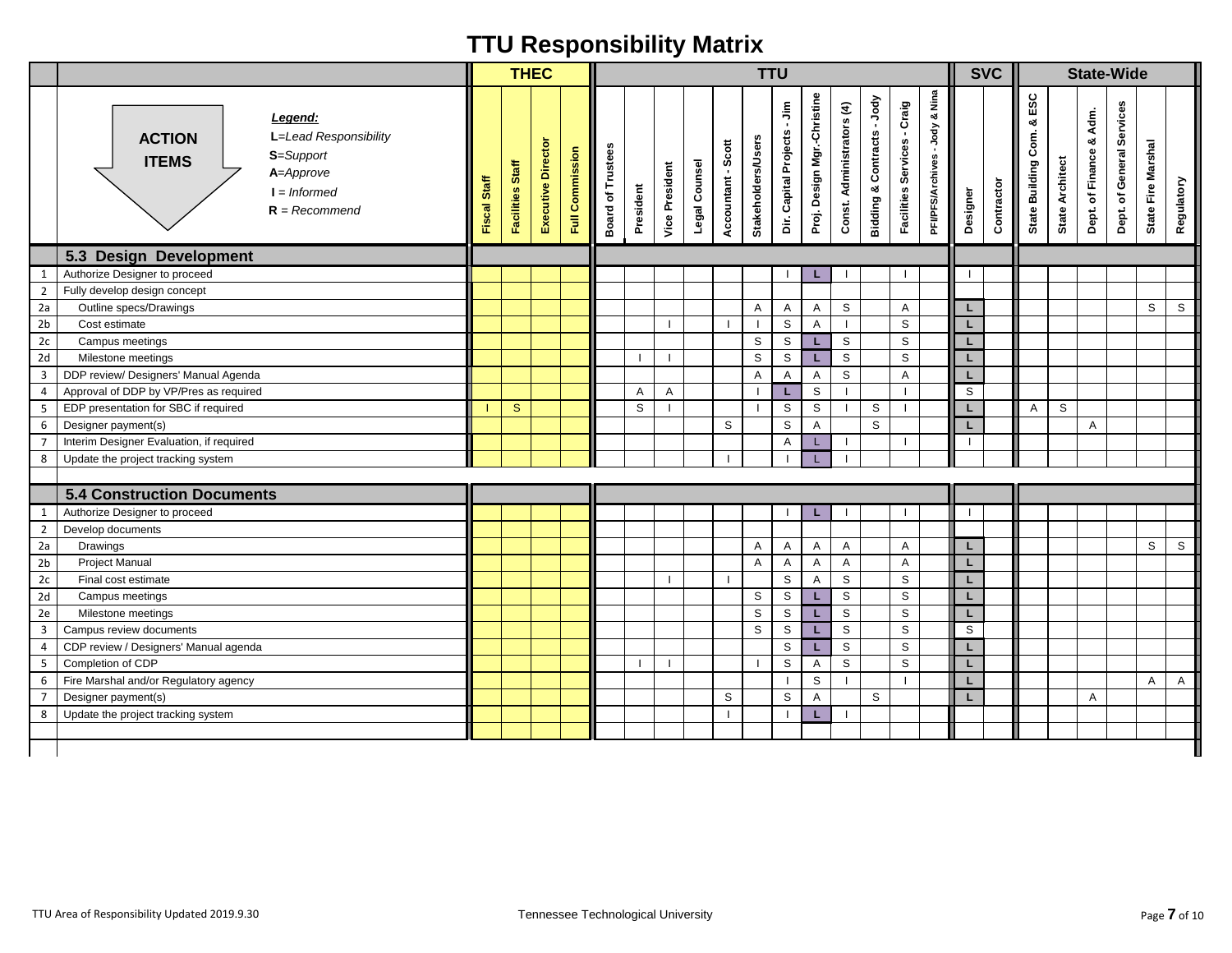|                         |                                                                                                                                                            |              |                  | <b>THEC</b>        |                 |                                    |              |                          |               |                    | <b>TTU</b>                |                             |                             |                           |                                         |                                   |                                    |          | <b>SVC</b> |                                     |                 |                         | <b>State-Wide</b>         |                    |              |
|-------------------------|------------------------------------------------------------------------------------------------------------------------------------------------------------|--------------|------------------|--------------------|-----------------|------------------------------------|--------------|--------------------------|---------------|--------------------|---------------------------|-----------------------------|-----------------------------|---------------------------|-----------------------------------------|-----------------------------------|------------------------------------|----------|------------|-------------------------------------|-----------------|-------------------------|---------------------------|--------------------|--------------|
|                         | Legend:<br>L=Lead Responsibility<br><b>ACTION</b><br>S=Support<br><b>ITEMS</b><br>A=Approve<br>$I = Informed$<br>$R = Recommend$<br>5.3 Design Development | Fiscal Staff | Facilities Staff | Executive Director | Full Commission | Trustees<br>Board of               | President    | <b>Vice President</b>    | Legal Counsel | Accountant - Scott | <b>Stakeholders/Users</b> | Dir. Capital Projects - Jim | Proj. Design Mgr.-Christine | Const. Administrators (4) | -Jody<br><b>Bidding &amp; Contracts</b> | - Craig<br>Services<br>Facilities | & Nina<br>-Jody<br>PFVPFS/Archives | Designer | Contractor | ESC<br>οð<br>Com.<br>State Building | State Architect | Dept. of Finance & Adm. | Dept. of General Services | State Fire Marshal | Regulatory   |
|                         |                                                                                                                                                            |              |                  |                    |                 |                                    |              |                          |               |                    |                           |                             |                             |                           |                                         |                                   |                                    |          |            |                                     |                 |                         |                           |                    |              |
| $\mathbf{1}$            | Authorize Designer to proceed<br>Fully develop design concept                                                                                              |              |                  |                    |                 |                                    |              |                          |               |                    |                           |                             | ш                           |                           |                                         |                                   |                                    |          |            |                                     |                 |                         |                           |                    |              |
| $\overline{2}$<br>2a    | Outline specs/Drawings                                                                                                                                     |              |                  |                    |                 |                                    |              |                          |               |                    | $\overline{A}$            | $\mathsf{A}$                | A                           | S                         |                                         | Α                                 |                                    | L        |            |                                     |                 |                         |                           | S                  | S            |
| 2 <sub>b</sub>          | Cost estimate                                                                                                                                              |              |                  |                    |                 |                                    |              | $\overline{\phantom{a}}$ |               |                    | -1                        | S                           | A                           | $\blacksquare$            |                                         | $\mathsf S$                       |                                    | L        |            |                                     |                 |                         |                           |                    |              |
| 2c                      | Campus meetings                                                                                                                                            |              |                  |                    |                 |                                    |              |                          |               |                    | $\mathbb S$               | $\mathbb S$                 | L.                          | $\mathsf S$               |                                         | $\mathsf{s}$                      |                                    | L        |            |                                     |                 |                         |                           |                    |              |
| 2d                      | Milestone meetings                                                                                                                                         |              |                  |                    |                 |                                    |              | $\overline{\phantom{a}}$ |               |                    | $\mathbb S$               | $\mathbb S$                 | L.                          | $\mathsf{s}$              |                                         | S                                 |                                    | L        |            |                                     |                 |                         |                           |                    |              |
| $\mathsf 3$             | DDP review/ Designers' Manual Agenda                                                                                                                       |              |                  |                    |                 |                                    |              |                          |               |                    | Α                         | Α                           | $\mathsf{A}$                | S                         |                                         | Α                                 |                                    | L        |            |                                     |                 |                         |                           |                    |              |
| $\overline{4}$          | Approval of DDP by VP/Pres as required                                                                                                                     |              |                  |                    |                 |                                    | A            | Α                        |               |                    |                           | L.                          | $\mathbb S$                 |                           |                                         |                                   |                                    | S        |            |                                     |                 |                         |                           |                    |              |
| 5                       | EDP presentation for SBC if required                                                                                                                       |              | $\mathbf{s}$     |                    |                 |                                    | $\mathbb S$  | $\mathbf{I}$             |               |                    | -1                        | S                           | $\mathbb S$                 |                           | S                                       | $\blacksquare$                    |                                    | L        |            | $\mathsf{A}$                        | S               |                         |                           |                    |              |
| $\boldsymbol{6}$        | Designer payment(s)                                                                                                                                        |              |                  |                    |                 |                                    |              |                          |               | S                  |                           | $\mathsf S$                 | A                           |                           | ${\tt S}$                               |                                   |                                    | L        |            |                                     |                 | A                       |                           |                    |              |
| $\overline{7}$          | Interim Designer Evaluation, if required                                                                                                                   |              |                  |                    |                 |                                    |              |                          |               |                    |                           | A                           | L                           | $\blacksquare$            |                                         |                                   |                                    | $\perp$  |            |                                     |                 |                         |                           |                    |              |
| 8                       | Update the project tracking system                                                                                                                         |              |                  |                    |                 |                                    |              |                          |               |                    |                           |                             |                             |                           |                                         |                                   |                                    |          |            |                                     |                 |                         |                           |                    |              |
|                         |                                                                                                                                                            |              |                  |                    |                 |                                    |              |                          |               |                    |                           |                             |                             |                           |                                         |                                   |                                    |          |            |                                     |                 |                         |                           |                    |              |
|                         | <b>5.4 Construction Documents</b>                                                                                                                          |              |                  |                    |                 |                                    |              |                          |               |                    |                           |                             |                             |                           |                                         |                                   |                                    |          |            |                                     |                 |                         |                           |                    |              |
| $\mathbf{1}$            | Authorize Designer to proceed                                                                                                                              |              |                  |                    |                 |                                    |              |                          |               |                    |                           |                             | ш                           |                           |                                         |                                   |                                    | -1       |            |                                     |                 |                         |                           |                    |              |
| $\overline{2}$          | Develop documents                                                                                                                                          |              |                  |                    |                 |                                    |              |                          |               |                    |                           |                             |                             |                           |                                         |                                   |                                    |          |            |                                     |                 |                         |                           |                    |              |
| 2a                      | Drawings                                                                                                                                                   |              |                  |                    |                 |                                    |              |                          |               |                    | Α                         | $\mathsf{A}$                | Α                           | A                         |                                         | Α                                 |                                    | L        |            |                                     |                 |                         |                           | S                  | S            |
| 2 <sub>b</sub>          | Project Manual                                                                                                                                             |              |                  |                    |                 |                                    |              |                          |               |                    | A                         | $\mathsf{A}$                | A                           | Α                         |                                         | Α                                 |                                    | L        |            |                                     |                 |                         |                           |                    |              |
| 2c                      | Final cost estimate                                                                                                                                        |              |                  |                    |                 |                                    |              | $\mathbf{I}$             |               | -1                 |                           | $\mathbb S$                 | A                           | $\mathsf{s}$              |                                         | $\mathsf{s}$                      |                                    | L        |            |                                     |                 |                         |                           |                    |              |
| 2d                      | Campus meetings                                                                                                                                            |              |                  |                    |                 |                                    |              |                          |               |                    | $\mathbb S$               | $\mathbb S$                 | L.                          | $\mathsf{s}$              |                                         | S                                 |                                    | L        |            |                                     |                 |                         |                           |                    |              |
| 2e                      | Milestone meetings                                                                                                                                         |              |                  |                    |                 |                                    |              |                          |               |                    | S                         | S                           | L                           | $\mbox{\bf S}$            |                                         | $\mathsf S$                       |                                    | L        |            |                                     |                 |                         |                           |                    |              |
| $\overline{\mathbf{3}}$ | Campus review documents                                                                                                                                    |              |                  |                    |                 |                                    |              |                          |               |                    | $\mathbb S$               | S                           | L.                          | $\mathsf S$               |                                         | $\mathsf S$                       |                                    | S        |            |                                     |                 |                         |                           |                    |              |
| 4                       | CDP review / Designers' Manual agenda                                                                                                                      |              |                  |                    |                 |                                    |              |                          |               |                    |                           | $\mathbb S$                 | L                           | $\mathbb S$               |                                         | $\mbox{\bf S}$                    |                                    | L        |            |                                     |                 |                         |                           |                    |              |
| 5                       | Completion of CDP                                                                                                                                          |              |                  |                    |                 |                                    | $\mathbf{I}$ | $\mathbf{I}$             |               |                    | - 1                       | S                           | $\mathsf{A}$                | S                         |                                         | S                                 |                                    | L        |            |                                     |                 |                         |                           |                    |              |
| 6                       | Fire Marshal and/or Regulatory agency                                                                                                                      |              |                  |                    |                 |                                    |              |                          |               |                    |                           |                             | S                           | $\mathbf{I}$              |                                         |                                   |                                    | L        |            |                                     |                 |                         |                           | Α                  | $\mathsf{A}$ |
| $\overline{7}$          | Designer payment(s)                                                                                                                                        |              |                  |                    |                 |                                    |              |                          |               | S                  |                           | $\mathbb S$                 | A                           |                           | S                                       |                                   |                                    | L        |            |                                     |                 | A                       |                           |                    |              |
| 8                       | Update the project tracking system                                                                                                                         |              |                  |                    |                 |                                    |              |                          |               | $\mathbf{I}$       |                           | $\overline{1}$              | L.                          | - 1                       |                                         |                                   |                                    |          |            |                                     |                 |                         |                           |                    |              |
|                         |                                                                                                                                                            |              |                  |                    |                 |                                    |              |                          |               |                    |                           |                             |                             |                           |                                         |                                   |                                    |          |            |                                     |                 |                         |                           |                    |              |
|                         |                                                                                                                                                            |              |                  |                    |                 |                                    |              |                          |               |                    |                           |                             |                             |                           |                                         |                                   |                                    |          |            |                                     |                 |                         |                           |                    |              |
|                         | TTU Area of Responsibility Updated 2019.9.30                                                                                                               |              |                  |                    |                 | Tennessee Technological University |              |                          |               |                    |                           |                             |                             |                           |                                         |                                   |                                    |          |            |                                     |                 |                         |                           | Page 7 of 10       |              |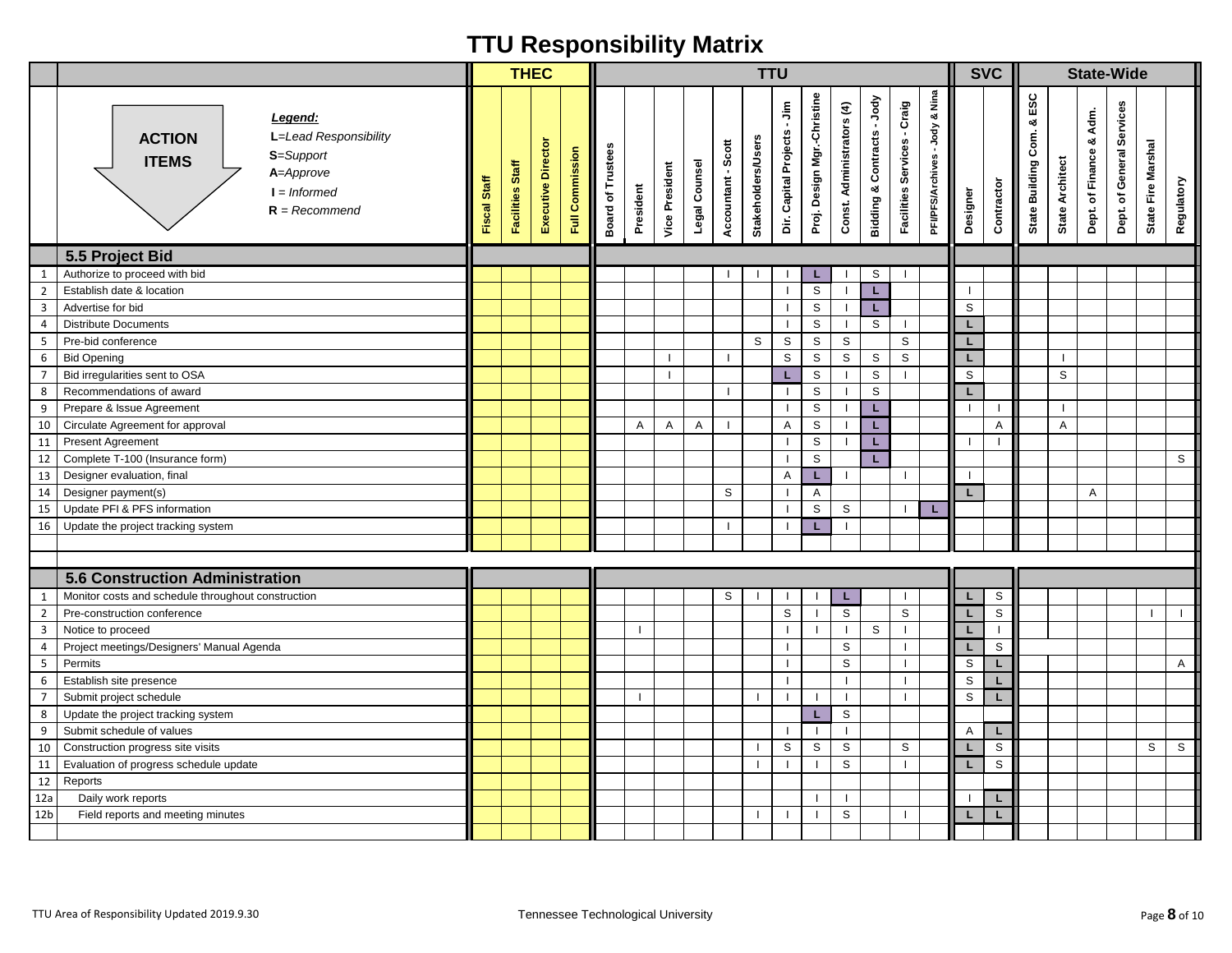|                     |                                                                                                                                  |              | <b>THEC</b>      |                    |                 |                                    |                |                       |               |                    | <b>TTU</b>                |                             |                             |                           |                            |                             |                                            |              | <b>SVC</b>  |                                    |                         |                            | <b>State-Wide</b>         |                    |            |
|---------------------|----------------------------------------------------------------------------------------------------------------------------------|--------------|------------------|--------------------|-----------------|------------------------------------|----------------|-----------------------|---------------|--------------------|---------------------------|-----------------------------|-----------------------------|---------------------------|----------------------------|-----------------------------|--------------------------------------------|--------------|-------------|------------------------------------|-------------------------|----------------------------|---------------------------|--------------------|------------|
|                     | Legend:<br>L=Lead Responsibility<br><b>ACTION</b><br>S=Support<br><b>ITEMS</b><br>A=Approve<br>$I = Informed$<br>$R = Recommend$ | Fiscal Staff | Facilities Staff | Executive Director | Full Commission | <b>Board of Trustees</b>           | President      | <b>Vice President</b> | Legal Counsel | Accountant - Scott | <b>Stakeholders/Users</b> | Dir. Capital Projects - Jim | Proj. Design Mgr.-Christine | Const. Administrators (4) | Bidding & Contracts - Jody | Facilities Services - Craig | & Nina<br>-Jody<br><b>PFI/PFS/Archives</b> | Designer     | Contractor  | ESC<br>త<br>Com.<br>State Building | <b>State Architect</b>  | Adm.<br>Dept. of Finance & | Dept. of General Services | State Fire Marshal | Regulatory |
|                     | 5.5 Project Bid<br>Authorize to proceed with bid                                                                                 |              |                  |                    |                 |                                    |                |                       |               |                    |                           |                             |                             |                           | S                          |                             |                                            |              |             |                                    |                         |                            |                           |                    |            |
| 1<br>$\overline{2}$ | Establish date & location                                                                                                        |              |                  |                    |                 |                                    |                |                       |               |                    |                           | $\mathbf{I}$                | L.<br>S                     | $\mathbf{I}$              | L.                         |                             |                                            |              |             |                                    |                         |                            |                           |                    |            |
| $\overline{3}$      | Advertise for bid                                                                                                                |              |                  |                    |                 |                                    |                |                       |               |                    |                           | $\mathbf{I}$                | $\mathbb S$                 | $\mathbf{I}$              | L.                         |                             |                                            | S            |             |                                    |                         |                            |                           |                    |            |
| $\overline{4}$      | <b>Distribute Documents</b>                                                                                                      |              |                  |                    |                 |                                    |                |                       |               |                    |                           | $\mathbf{I}$                | $\mathbb S$                 | $\mathbf{I}$              | S                          | $\perp$                     |                                            | L            |             |                                    |                         |                            |                           |                    |            |
| 5                   | Pre-bid conference                                                                                                               |              |                  |                    |                 |                                    |                |                       |               |                    | $\mathbb S$               | $\mathbb S$                 | $\mathbb S$                 | $\mathbb S$               |                            | S                           |                                            | L            |             |                                    |                         |                            |                           |                    |            |
| 6                   | <b>Bid Opening</b>                                                                                                               |              |                  |                    |                 |                                    |                |                       |               | -1                 |                           | S                           | $\mathbb S$                 | $\mathbb S$               | S                          | S                           |                                            | L            |             |                                    |                         |                            |                           |                    |            |
| $\overline{7}$      | Bid irregularities sent to OSA                                                                                                   |              |                  |                    |                 |                                    |                |                       |               |                    |                           | L                           | $\mathbb S$                 |                           | $\mathbb S$                |                             |                                            | S            |             |                                    | S                       |                            |                           |                    |            |
| 8                   | Recommendations of award                                                                                                         |              |                  |                    |                 |                                    |                |                       |               |                    |                           | $\mathbf{I}$                | $\mathbb S$                 |                           | $\mathbb S$                |                             |                                            | L.           |             |                                    |                         |                            |                           |                    |            |
| 9                   | Prepare & Issue Agreement                                                                                                        |              |                  |                    |                 |                                    |                |                       |               |                    |                           | $\mathbf{I}$                | $\mathbb S$                 | $\mathbf{I}$              | L.                         |                             |                                            | $\mathbf{I}$ |             |                                    |                         |                            |                           |                    |            |
| 10                  | Circulate Agreement for approval                                                                                                 |              |                  |                    |                 |                                    | $\overline{A}$ | A                     | Α             |                    |                           | A                           | $\mathbb S$                 | $\mathbf{I}$              | L.                         |                             |                                            |              | Α           |                                    | $\overline{\mathsf{A}}$ |                            |                           |                    |            |
| 11                  | <b>Present Agreement</b>                                                                                                         |              |                  |                    |                 |                                    |                |                       |               |                    |                           | $\mathbf{I}$                | $\mathbb S$                 | $\mathbf{I}$              | L.                         |                             |                                            |              |             |                                    |                         |                            |                           |                    |            |
| 12                  | Complete T-100 (Insurance form)                                                                                                  |              |                  |                    |                 |                                    |                |                       |               |                    |                           | $\mathbf{I}$                | $\mathsf S$                 |                           | L.                         |                             |                                            |              |             |                                    |                         |                            |                           |                    | S          |
| 13                  | Designer evaluation, final                                                                                                       |              |                  |                    |                 |                                    |                |                       |               |                    |                           | A                           | L.                          | $\mathbf{I}$              |                            | -1                          |                                            | -1           |             |                                    |                         |                            |                           |                    |            |
| 14                  | Designer payment(s)                                                                                                              |              |                  |                    |                 |                                    |                |                       |               | S                  |                           | $\mathbf{1}$                | A                           |                           |                            |                             |                                            | L            |             |                                    |                         | Α                          |                           |                    |            |
| 15                  | Update PFI & PFS information                                                                                                     |              |                  |                    |                 |                                    |                |                       |               |                    |                           | $\mathbf{I}$                | $\mathsf S$                 | S                         |                            |                             |                                            |              |             |                                    |                         |                            |                           |                    |            |
| 16                  | Update the project tracking system                                                                                               |              |                  |                    |                 |                                    |                |                       |               |                    |                           | $\mathbf{I}$                | L                           |                           |                            |                             |                                            |              |             |                                    |                         |                            |                           |                    |            |
|                     |                                                                                                                                  |              |                  |                    |                 |                                    |                |                       |               |                    |                           |                             |                             |                           |                            |                             |                                            |              |             |                                    |                         |                            |                           |                    |            |
|                     |                                                                                                                                  |              |                  |                    |                 |                                    |                |                       |               |                    |                           |                             |                             |                           |                            |                             |                                            |              |             |                                    |                         |                            |                           |                    |            |
|                     | <b>5.6 Construction Administration</b>                                                                                           |              |                  |                    |                 |                                    |                |                       |               |                    |                           |                             |                             |                           |                            |                             |                                            |              |             |                                    |                         |                            |                           |                    |            |
| $\mathbf{1}$        | Monitor costs and schedule throughout construction                                                                               |              |                  |                    |                 |                                    |                |                       |               | S                  |                           |                             |                             | L                         |                            |                             |                                            | L            | S           |                                    |                         |                            |                           |                    |            |
| $\overline{2}$      | Pre-construction conference                                                                                                      |              |                  |                    |                 |                                    |                |                       |               |                    |                           | $\mathbb S$                 |                             | $\mathbb S$               |                            | S                           |                                            | L            | S           |                                    |                         |                            |                           |                    | $\perp$    |
| $\overline{3}$      | Notice to proceed                                                                                                                |              |                  |                    |                 |                                    |                |                       |               |                    |                           | $\mathbf{I}$                |                             | $\mathbf{I}$              | S                          |                             |                                            | L            |             |                                    |                         |                            |                           |                    |            |
| 4                   | Project meetings/Designers' Manual Agenda                                                                                        |              |                  |                    |                 |                                    |                |                       |               |                    |                           | $\mathbf{I}$                |                             | $\mathbb S$               |                            | $\mathbf{I}$                |                                            | L            | $\mathbb S$ |                                    |                         |                            |                           |                    |            |
| 5                   | Permits                                                                                                                          |              |                  |                    |                 |                                    |                |                       |               |                    |                           | $\mathbf{I}$                |                             | S                         |                            | $\mathbf{I}$                |                                            | S            | L           |                                    |                         |                            |                           |                    | A          |
| 6                   | Establish site presence                                                                                                          |              |                  |                    |                 |                                    |                |                       |               |                    |                           | $\mathbf{I}$                |                             | $\mathbf{I}$              |                            |                             |                                            | S            | L           |                                    |                         |                            |                           |                    |            |
| $\overline{7}$      | Submit project schedule                                                                                                          |              |                  |                    |                 |                                    |                |                       |               |                    |                           | $\mathbf{I}$                |                             | $\mathbf{I}$              |                            | $\mathbf{I}$                |                                            | $\mathsf{s}$ | L           |                                    |                         |                            |                           |                    |            |
| 8                   | Update the project tracking system                                                                                               |              |                  |                    |                 |                                    |                |                       |               |                    |                           |                             | L.                          | S                         |                            |                             |                                            |              |             |                                    |                         |                            |                           |                    |            |
| 9                   | Submit schedule of values                                                                                                        |              |                  |                    |                 |                                    |                |                       |               |                    |                           | $\mathbf{I}$                | $\mathbf{I}$                | $\mathbf{I}$<br>S         |                            |                             |                                            | Α            |             |                                    |                         |                            |                           |                    |            |
| 10 <sup>1</sup>     | Construction progress site visits                                                                                                |              |                  |                    |                 |                                    |                |                       |               |                    |                           | S                           | $\mathbb S$                 |                           |                            | S                           |                                            | L            | S           |                                    |                         |                            |                           | $\mathbb S$        | ${\tt S}$  |
|                     | 11   Evaluation of progress schedule update                                                                                      |              |                  |                    |                 |                                    |                |                       |               |                    | I.                        |                             | 1                           | S                         |                            |                             |                                            | L.           | S           |                                    |                         |                            |                           |                    |            |
| 12a                 | 12 Reports<br>Daily work reports                                                                                                 |              |                  |                    |                 |                                    |                |                       |               |                    |                           |                             |                             |                           |                            |                             |                                            |              | L           |                                    |                         |                            |                           |                    |            |
| 12 <sub>b</sub>     | Field reports and meeting minutes                                                                                                |              |                  |                    |                 |                                    |                |                       |               |                    | -1                        |                             | $\mathbf{I}$                | $\mathbb S$               |                            |                             |                                            | L            | L           |                                    |                         |                            |                           |                    |            |
|                     |                                                                                                                                  |              |                  |                    |                 |                                    |                |                       |               |                    |                           |                             |                             |                           |                            |                             |                                            |              |             |                                    |                         |                            |                           |                    |            |
|                     | TTU Area of Responsibility Updated 2019.9.30                                                                                     |              |                  |                    |                 | Tennessee Technological University |                |                       |               |                    |                           |                             |                             |                           |                            |                             |                                            |              |             |                                    |                         |                            |                           | Page 8 of 10       |            |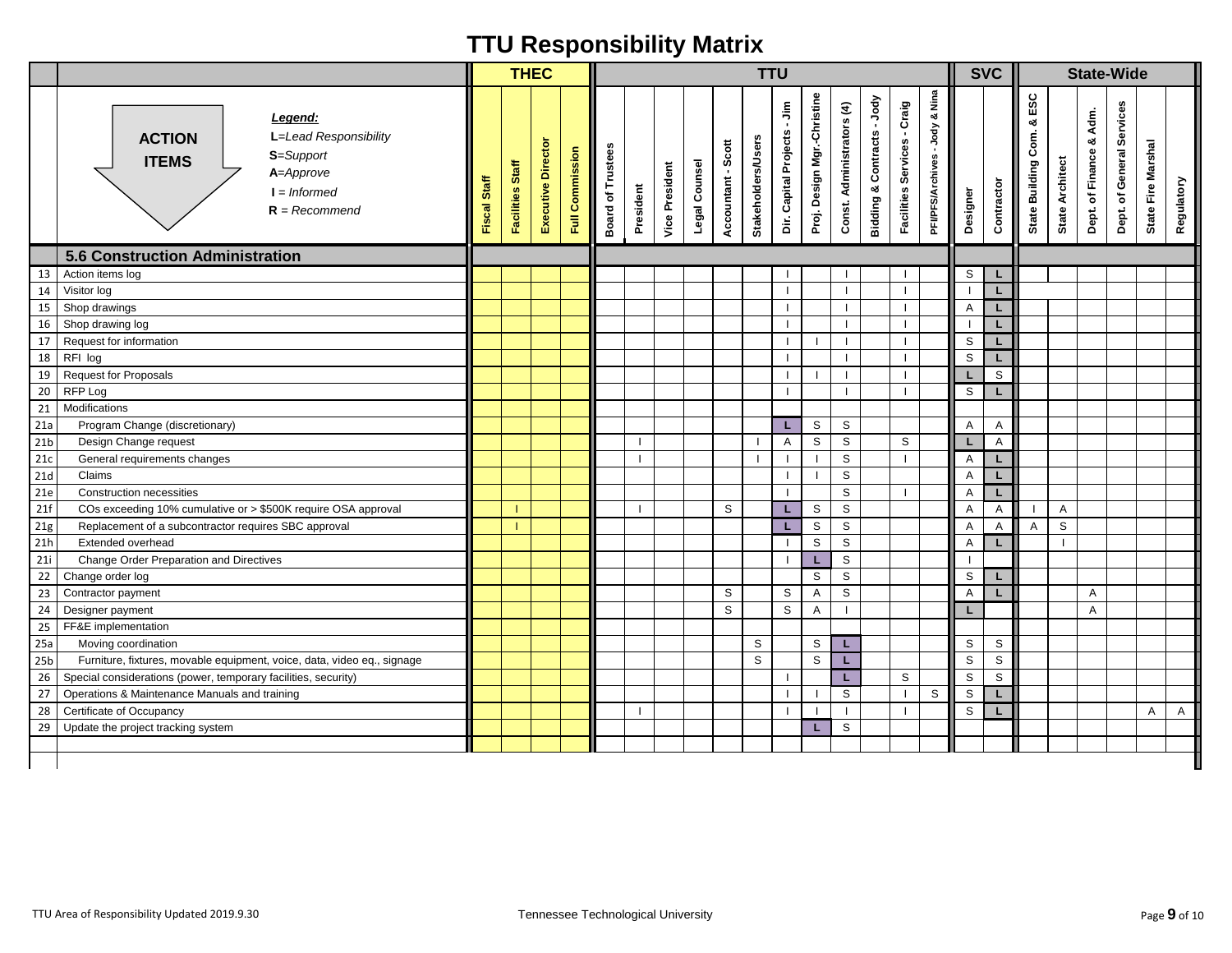|                 |                                                                                                                                  |              | <b>THEC</b>      |                   |                 |                                    |              |                       |               |                    | <b>TTU</b>                |                              |                             |                           |                                         |                                          |                                               |             | <b>SVC</b>   |                                    |                     |                            | <b>State-Wide</b>         |                    |              |
|-----------------|----------------------------------------------------------------------------------------------------------------------------------|--------------|------------------|-------------------|-----------------|------------------------------------|--------------|-----------------------|---------------|--------------------|---------------------------|------------------------------|-----------------------------|---------------------------|-----------------------------------------|------------------------------------------|-----------------------------------------------|-------------|--------------|------------------------------------|---------------------|----------------------------|---------------------------|--------------------|--------------|
|                 | Legend:<br>L=Lead Responsibility<br><b>ACTION</b><br>S=Support<br><b>ITEMS</b><br>A=Approve<br>$I = Informed$<br>$R = Recommend$ | Fiscal Staff | Facilities Staff | Executive Directo | Full Commission | Trustees<br>Board of               | President    | <b>Vice President</b> | Legal Counsel | Accountant - Scott | <b>Stakeholders/Users</b> | Dir. Capital Projects - Jim  | Proj. Design Mgr.-Christine | Const. Administrators (4) | -Jody<br><b>Bidding &amp; Contracts</b> | - Craig<br>Services<br><b>Facilities</b> | Nina<br>య<br>-Jody<br><b>PFI/PFS/Archives</b> | Designer    | Contractor   | ESC<br>య<br>Com.<br>State Building | State Architect     | Adm.<br>Dept. of Finance & | Dept. of General Services | State Fire Marshal | Regulatory   |
|                 | <b>5.6 Construction Administration</b>                                                                                           |              |                  |                   |                 |                                    |              |                       |               |                    |                           |                              |                             |                           |                                         |                                          |                                               |             |              |                                    |                     |                            |                           |                    |              |
| 13              | Action items log                                                                                                                 |              |                  |                   |                 |                                    |              |                       |               |                    |                           |                              |                             |                           |                                         |                                          |                                               | S           | L            |                                    |                     |                            |                           |                    |              |
| 14              | Visitor log                                                                                                                      |              |                  |                   |                 |                                    |              |                       |               |                    |                           | $\mathbf{I}$                 |                             |                           |                                         |                                          |                                               |             | L            |                                    |                     |                            |                           |                    |              |
| 15              | Shop drawings                                                                                                                    |              |                  |                   |                 |                                    |              |                       |               |                    |                           | $\mathbf{I}$                 |                             |                           |                                         |                                          |                                               | A           | L            |                                    |                     |                            |                           |                    |              |
| 16              | Shop drawing log                                                                                                                 |              |                  |                   |                 |                                    |              |                       |               |                    |                           | $\mathbf{I}$                 |                             | $\mathbf{I}$              |                                         | $\blacksquare$                           |                                               |             | L            |                                    |                     |                            |                           |                    |              |
| 17              | Request for information                                                                                                          |              |                  |                   |                 |                                    |              |                       |               |                    |                           | $\mathbf{I}$                 |                             |                           |                                         | $\blacksquare$                           |                                               | S           | L            |                                    |                     |                            |                           |                    |              |
|                 | 18 RFI log                                                                                                                       |              |                  |                   |                 |                                    |              |                       |               |                    |                           | $\mathbf{I}$                 |                             |                           |                                         |                                          |                                               | S           | L            |                                    |                     |                            |                           |                    |              |
| 19              | <b>Request for Proposals</b>                                                                                                     |              |                  |                   |                 |                                    |              |                       |               |                    |                           | $\mathbf{I}$<br>$\mathbf{I}$ |                             | $\mathbf{I}$              |                                         | $\blacksquare$                           |                                               |             | S            |                                    |                     |                            |                           |                    |              |
| $20\,$          | RFP Log                                                                                                                          |              |                  |                   |                 |                                    |              |                       |               |                    |                           |                              |                             |                           |                                         |                                          |                                               | S           | L            |                                    |                     |                            |                           |                    |              |
| 21              | Modifications                                                                                                                    |              |                  |                   |                 |                                    |              |                       |               |                    |                           |                              |                             |                           |                                         |                                          |                                               |             |              |                                    |                     |                            |                           |                    |              |
| 21a             | Program Change (discretionary)                                                                                                   |              |                  |                   |                 |                                    |              |                       |               |                    |                           | L.                           | $\mathbb S$                 | S                         |                                         | S                                        |                                               | Α           | $\mathsf{A}$ |                                    |                     |                            |                           |                    |              |
| 21 <sub>b</sub> | Design Change request                                                                                                            |              |                  |                   |                 |                                    | $\mathbf{I}$ |                       |               |                    | -1                        | $\mathsf{A}$<br>$\mathbf{I}$ | $\mathbb S$                 | S<br>$\mathsf{s}$         |                                         |                                          |                                               | L           | $\mathsf{A}$ |                                    |                     |                            |                           |                    |              |
| 21c             | General requirements changes                                                                                                     |              |                  |                   |                 |                                    |              |                       |               |                    |                           | $\mathbf{I}$                 | -1                          |                           |                                         |                                          |                                               | Α           | L            |                                    |                     |                            |                           |                    |              |
| 21d             | Claims                                                                                                                           |              |                  |                   |                 |                                    |              |                       |               |                    |                           | $\blacksquare$               |                             | S                         |                                         | -1                                       |                                               | A           | L            |                                    |                     |                            |                           |                    |              |
| 21e             | Construction necessities<br>COs exceeding 10% cumulative or > \$500K require OSA approval                                        |              |                  |                   |                 |                                    |              |                       |               |                    |                           |                              |                             | S                         |                                         |                                          |                                               | Α           | L            |                                    |                     |                            |                           |                    |              |
| 21f             |                                                                                                                                  |              |                  |                   |                 |                                    |              |                       |               | S                  |                           | L.<br>L.                     | $\mathbb S$<br>$\mathbb S$  | $\mathbb S$<br>S          |                                         |                                          |                                               | Α           | A            |                                    | $\overline{A}$<br>S |                            |                           |                    |              |
| 21g<br>21h      | Replacement of a subcontractor requires SBC approval<br>Extended overhead                                                        |              |                  |                   |                 |                                    |              |                       |               |                    |                           | H.                           | S                           | $\mathbb S$               |                                         |                                          |                                               | Α<br>A      | $\mathsf{A}$ | Α                                  |                     |                            |                           |                    |              |
| 21i             | Change Order Preparation and Directives                                                                                          |              |                  |                   |                 |                                    |              |                       |               |                    |                           | $\blacksquare$               | L                           | S                         |                                         |                                          |                                               |             |              |                                    |                     |                            |                           |                    |              |
| 22              | Change order log                                                                                                                 |              |                  |                   |                 |                                    |              |                       |               |                    |                           |                              | S                           | S                         |                                         |                                          |                                               | S           | L.           |                                    |                     |                            |                           |                    |              |
| 23              | Contractor payment                                                                                                               |              |                  |                   |                 |                                    |              |                       |               | S                  |                           | S                            | A                           | S                         |                                         |                                          |                                               | Α           | L            |                                    |                     | A                          |                           |                    |              |
|                 | 24 Designer payment                                                                                                              |              |                  |                   |                 |                                    |              |                       |               | S                  |                           | S                            | A                           |                           |                                         |                                          |                                               | L           |              |                                    |                     | A                          |                           |                    |              |
| 25              | FF&E implementation                                                                                                              |              |                  |                   |                 |                                    |              |                       |               |                    |                           |                              |                             |                           |                                         |                                          |                                               |             |              |                                    |                     |                            |                           |                    |              |
| 25a             | Moving coordination                                                                                                              |              |                  |                   |                 |                                    |              |                       |               |                    | S                         |                              | S                           | L                         |                                         |                                          |                                               | S           | S            |                                    |                     |                            |                           |                    |              |
| 25 <sub>b</sub> | Furniture, fixtures, movable equipment, voice, data, video eq., signage                                                          |              |                  |                   |                 |                                    |              |                       |               |                    | $\mathbb S$               |                              | $\mathbb S$                 | L                         |                                         |                                          |                                               | $\mathbb S$ | $\mathsf S$  |                                    |                     |                            |                           |                    |              |
| 26              | Special considerations (power, temporary facilities, security)                                                                   |              |                  |                   |                 |                                    |              |                       |               |                    |                           |                              |                             | L                         |                                         | S                                        |                                               | $\mathbb S$ | S            |                                    |                     |                            |                           |                    |              |
| 27              | Operations & Maintenance Manuals and training                                                                                    |              |                  |                   |                 |                                    |              |                       |               |                    |                           | $\mathbf{I}$                 |                             | S                         |                                         |                                          | S                                             | S           | L            |                                    |                     |                            |                           |                    |              |
| 28              | Certificate of Occupancy                                                                                                         |              |                  |                   |                 |                                    | $\mathbf{I}$ |                       |               |                    |                           | $\mathbf{I}$                 |                             |                           |                                         |                                          |                                               | S           | L            |                                    |                     |                            |                           | Α                  | $\mathsf{A}$ |
| 29              | Update the project tracking system                                                                                               |              |                  |                   |                 |                                    |              |                       |               |                    |                           |                              | L.                          | S                         |                                         |                                          |                                               |             |              |                                    |                     |                            |                           |                    |              |
|                 |                                                                                                                                  |              |                  |                   |                 |                                    |              |                       |               |                    |                           |                              |                             |                           |                                         |                                          |                                               |             |              |                                    |                     |                            |                           |                    |              |
|                 |                                                                                                                                  |              |                  |                   |                 |                                    |              |                       |               |                    |                           |                              |                             |                           |                                         |                                          |                                               |             |              |                                    |                     |                            |                           |                    |              |
|                 | TTU Area of Responsibility Updated 2019.9.30                                                                                     |              |                  |                   |                 | Tennessee Technological University |              |                       |               |                    |                           |                              |                             |                           |                                         |                                          |                                               |             |              |                                    |                     |                            |                           | Page 9 of 10       |              |